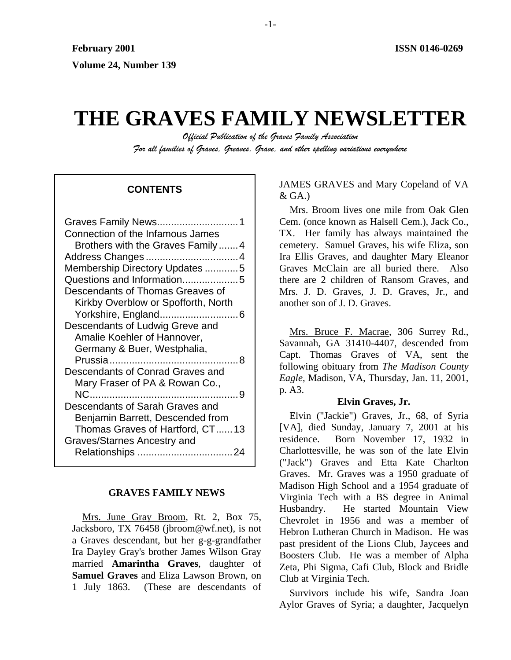# **THE GRAVES FAMILY NEWSLETTER**

*Official Publication of the Graves Family Association For all families of Graves, Greaves, Grave, and other spelling variations everywhere* 

# & GA.) **CONTENTS**

| Connection of the Infamous James    |
|-------------------------------------|
| Brothers with the Graves Family4    |
|                                     |
| Membership Directory Updates 5      |
| Questions and Information5          |
| Descendants of Thomas Greaves of    |
| Kirkby Overblow or Spofforth, North |
|                                     |
| Descendants of Ludwig Greve and     |
| Amalie Koehler of Hannover,         |
| Germany & Buer, Westphalia,         |
|                                     |
| Descendants of Conrad Graves and    |
| Mary Fraser of PA & Rowan Co.,      |
|                                     |
| Descendants of Sarah Graves and     |
| Benjamin Barrett, Descended from    |
| Thomas Graves of Hartford, CT13     |
| Graves/Starnes Ancestry and         |
|                                     |
|                                     |

#### **GRAVES FAMILY NEWS**

Mrs. June Gray Broom, Rt. 2, Box 75, Jacksboro, TX 76458 (jbroom@wf.net), is not a Graves descendant, but her g-g-grandfather Ira Dayley Gray's brother James Wilson Gray married **Amarintha Graves**, daughter of **Samuel Graves** and Eliza Lawson Brown, on 1 July 1863. (These are descendants of JAMES GRAVES and Mary Copeland of VA

Mrs. Broom lives one mile from Oak Glen Cem. (once known as Halsell Cem.), Jack Co., TX. Her family has always maintained the cemetery. Samuel Graves, his wife Eliza, son Ira Ellis Graves, and daughter Mary Eleanor Graves McClain are all buried there. Also there are 2 children of Ransom Graves, and Mrs. J. D. Graves, J. D. Graves, Jr., and another son of J. D. Graves.

Mrs. Bruce F. Macrae, 306 Surrey Rd., Savannah, GA 31410-4407, descended from Capt. Thomas Graves of VA, sent the following obituary from *The Madison County Eagle*, Madison, VA, Thursday, Jan. 11, 2001, p. A3.

#### **Elvin Graves, Jr.**

Elvin ("Jackie") Graves, Jr., 68, of Syria [VA], died Sunday, January 7, 2001 at his residence. Born November 17, 1932 in Charlottesville, he was son of the late Elvin ("Jack") Graves and Etta Kate Charlton Graves. Mr. Graves was a 1950 graduate of Madison High School and a 1954 graduate of Virginia Tech with a BS degree in Animal Husbandry. He started Mountain View Chevrolet in 1956 and was a member of Hebron Lutheran Church in Madison. He was past president of the Lions Club, Jaycees and Boosters Club. He was a member of Alpha Zeta, Phi Sigma, Cafi Club, Block and Bridle Club at Virginia Tech.

Survivors include his wife, Sandra Joan Aylor Graves of Syria; a daughter, Jacquelyn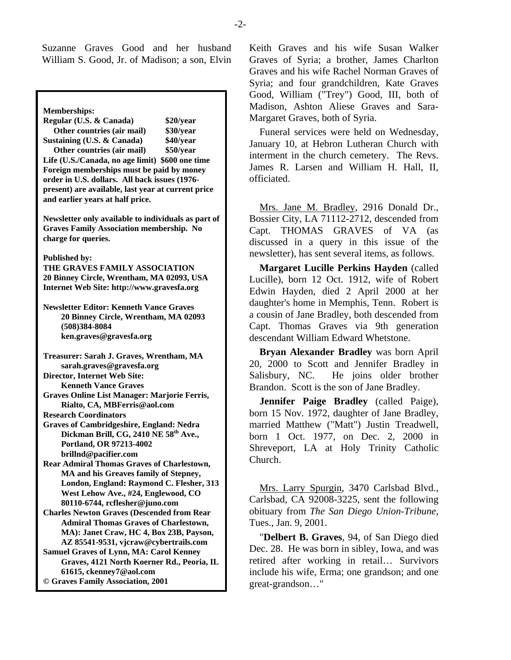Suzanne Graves Good and her husband William S. Good, Jr. of Madison; a son, Elvin

Memberships:<br>
Regular (U.S. & Canada) **820/year** Margaret Graves, both of Syria. **Regular (U.S. & Canada) Other countries (air mail) \$30/year Sustaining (U.S. & Canada) \$40/year Other countries (air mail) \$50/year Life (U.S./Canada, no age limit) \$600 one time Foreign memberships must be paid by money order in U.S. dollars. All back issues (1976 present) are available, last year at current price and earlier years at half price. Newsletter only available to individuals as part of Graves Family Association membership. No charge for queries. Published by: THE GRAVES FAMILY ASSOCIATION 20 Binney Circle, Wrentham, MA 02093, USA Internet Web Site: http://www.gravesfa.org Newsletter Editor: Kenneth Vance Graves 20 Binney Circle, Wrentham, MA 02093 (508)384-8084 ken.graves@gravesfa.org Treasurer: Sarah J. Graves, Wrentham, MA sarah.graves@gravesfa.org Director, Internet Web Site: Kenneth Vance Graves Graves Online List Manager: Marjorie Ferris, Rialto, CA, MBFerris@aol.com Research Coordinators Graves of Cambridgeshire, England: Nedra**  Dickman Brill, CG, 2410 NE 58<sup>th</sup> Ave., **Portland, OR 97213-4002 brillnd@pacifier.com Rear Admiral Thomas Graves of Charlestown, MA and his Greaves family of Stepney, London, England: Raymond C. Flesher, 313 West Lehow Ave., #24, Englewood, CO 80110-6744, rcflesher@juno.com Charles Newton Graves (Descended from Rear Admiral Thomas Graves of Charlestown, MA): Janet Craw, HC 4, Box 23B, Payson, AZ 85541-9531, vjcraw@cybertrails.com Samuel Graves of Lynn, MA: Carol Kenney Graves, 4121 North Koerner Rd., Peoria, IL 61615, ckenney7@aol.com © Graves Family Association, 2001**

Keith Graves and his wife Susan Walker Graves of Syria; a brother, James Charlton Graves and his wife Rachel Norman Graves of Syria; and four grandchildren, Kate Graves Good, William ("Trey") Good, III, both of Madison, Ashton Aliese Graves and Sara-

Funeral services were held on Wednesday, January 10, at Hebron Lutheran Church with interment in the church cemetery. The Revs. James R. Larsen and William H. Hall, II, officiated.

Mrs. Jane M. Bradley, 2916 Donald Dr., Bossier City, LA 71112-2712, descended from Capt. THOMAS GRAVES of VA (as discussed in a query in this issue of the newsletter), has sent several items, as follows.

**Margaret Lucille Perkins Hayden** (called Lucille), born 12 Oct. 1912, wife of Robert Edwin Hayden, died 2 April 2000 at her daughter's home in Memphis, Tenn. Robert is a cousin of Jane Bradley, both descended from Capt. Thomas Graves via 9th generation descendant William Edward Whetstone.

**Bryan Alexander Bradley** was born April 20, 2000 to Scott and Jennifer Bradley in Salisbury, NC. He joins older brother Brandon. Scott is the son of Jane Bradley.

**Jennifer Paige Bradley** (called Paige), born 15 Nov. 1972, daughter of Jane Bradley, married Matthew ("Matt") Justin Treadwell, born 1 Oct. 1977, on Dec. 2, 2000 in Shreveport, LA at Holy Trinity Catholic Church.

Mrs. Larry Spurgin, 3470 Carlsbad Blvd., Carlsbad, CA 92008-3225, sent the following obituary from *The San Diego Union-Tribune*, Tues., Jan. 9, 2001.

"**Delbert B. Graves**, 94, of San Diego died Dec. 28. He was born in sibley, Iowa, and was retired after working in retail… Survivors include his wife, Erma; one grandson; and one great-grandson…"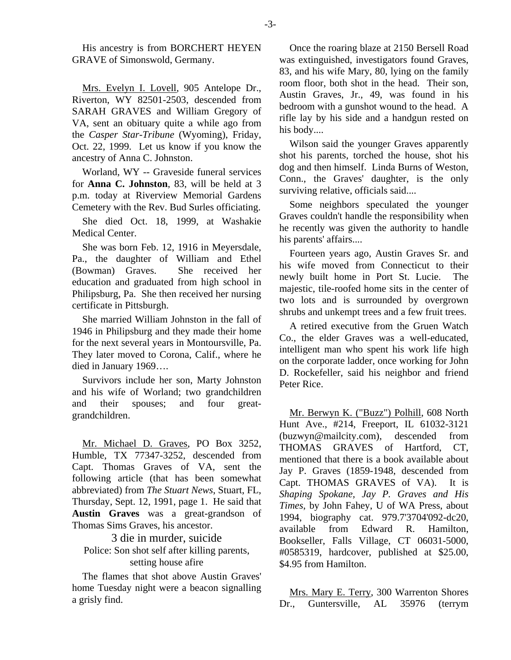His ancestry is from BORCHERT HEYEN GRAVE of Simonswold, Germany.

Mrs. Evelyn I. Lovell, 905 Antelope Dr., Riverton, WY 82501-2503, descended from SARAH GRAVES and William Gregory of VA, sent an obituary quite a while ago from the *Casper Star-Tribune* (Wyoming), Friday, Oct. 22, 1999. Let us know if you know the ancestry of Anna C. Johnston.

Worland, WY -- Graveside funeral services for **Anna C. Johnston**, 83, will be held at 3 p.m. today at Riverview Memorial Gardens Cemetery with the Rev. Bud Surles officiating.

She died Oct. 18, 1999, at Washakie Medical Center.

She was born Feb. 12, 1916 in Meyersdale, Pa., the daughter of William and Ethel (Bowman) Graves. She received her education and graduated from high school in Philipsburg, Pa. She then received her nursing certificate in Pittsburgh.

She married William Johnston in the fall of 1946 in Philipsburg and they made their home for the next several years in Montoursville, Pa. They later moved to Corona, Calif., where he died in January 1969….

Survivors include her son, Marty Johnston and his wife of Worland; two grandchildren and their spouses; and four greatgrandchildren.

Mr. Michael D. Graves, PO Box 3252, Humble, TX 77347-3252, descended from Capt. Thomas Graves of VA, sent the following article (that has been somewhat abbreviated) from *The Stuart News*, Stuart, FL, Thursday, Sept. 12, 1991, page 1. He said that **Austin Graves** was a great-grandson of Thomas Sims Graves, his ancestor.

3 die in murder, suicide Police: Son shot self after killing parents, setting house afire

The flames that shot above Austin Graves' home Tuesday night were a beacon signalling a grisly find.

Once the roaring blaze at 2150 Bersell Road was extinguished, investigators found Graves, 83, and his wife Mary, 80, lying on the family room floor, both shot in the head. Their son, Austin Graves, Jr., 49, was found in his bedroom with a gunshot wound to the head. A rifle lay by his side and a handgun rested on his body....

Wilson said the younger Graves apparently shot his parents, torched the house, shot his dog and then himself. Linda Burns of Weston, Conn., the Graves' daughter, is the only surviving relative, officials said....

Some neighbors speculated the younger Graves couldn't handle the responsibility when he recently was given the authority to handle his parents' affairs....

Fourteen years ago, Austin Graves Sr. and his wife moved from Connecticut to their newly built home in Port St. Lucie. The majestic, tile-roofed home sits in the center of two lots and is surrounded by overgrown shrubs and unkempt trees and a few fruit trees.

A retired executive from the Gruen Watch Co., the elder Graves was a well-educated, intelligent man who spent his work life high on the corporate ladder, once working for John D. Rockefeller, said his neighbor and friend Peter Rice.

Mr. Berwyn K. ("Buzz") Polhill, 608 North Hunt Ave., #214, Freeport, IL 61032-3121 (buzwyn@mailcity.com), descended from THOMAS GRAVES of Hartford, CT, mentioned that there is a book available about Jay P. Graves (1859-1948, descended from Capt. THOMAS GRAVES of VA). It is *Shaping Spokane, Jay P. Graves and His Times*, by John Fahey, U of WA Press, about 1994, biography cat. 979.7'3704'092-dc20, available from Edward R. Hamilton, Bookseller, Falls Village, CT 06031-5000, #0585319, hardcover, published at \$25.00, \$4.95 from Hamilton.

Mrs. Mary E. Terry, 300 Warrenton Shores Dr., Guntersville, AL 35976 (terrym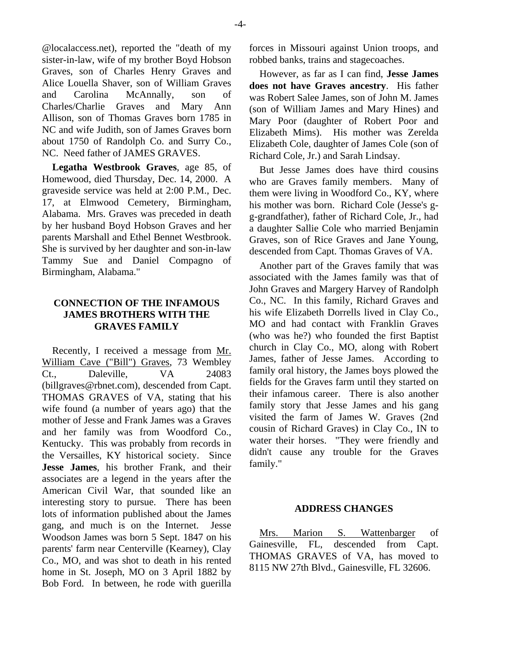@localaccess.net), reported the "death of my sister-in-law, wife of my brother Boyd Hobson Graves, son of Charles Henry Graves and Alice Louella Shaver, son of William Graves and Carolina McAnnally, son of Charles/Charlie Graves and Mary Ann Allison, son of Thomas Graves born 1785 in NC and wife Judith, son of James Graves born about 1750 of Randolph Co. and Surry Co., NC. Need father of JAMES GRAVES.

**Legatha Westbrook Graves**, age 85, of Homewood, died Thursday, Dec. 14, 2000. A graveside service was held at 2:00 P.M., Dec. 17, at Elmwood Cemetery, Birmingham, Alabama. Mrs. Graves was preceded in death by her husband Boyd Hobson Graves and her parents Marshall and Ethel Bennet Westbrook. She is survived by her daughter and son-in-law Tammy Sue and Daniel Compagno of Birmingham, Alabama."

## **CONNECTION OF THE INFAMOUS JAMES BROTHERS WITH THE GRAVES FAMILY**

Recently, I received a message from Mr. William Cave ("Bill") Graves, 73 Wembley Ct., Daleville, VA 24083 (billgraves@rbnet.com), descended from Capt. THOMAS GRAVES of VA, stating that his wife found (a number of years ago) that the mother of Jesse and Frank James was a Graves and her family was from Woodford Co., Kentucky. This was probably from records in the Versailles, KY historical society. Since **Jesse James**, his brother Frank, and their associates are a legend in the years after the American Civil War, that sounded like an interesting story to pursue. There has been lots of information published about the James gang, and much is on the Internet. Jesse Woodson James was born 5 Sept. 1847 on his parents' farm near Centerville (Kearney), Clay Co., MO, and was shot to death in his rented home in St. Joseph, MO on 3 April 1882 by Bob Ford. In between, he rode with guerilla

forces in Missouri against Union troops, and robbed banks, trains and stagecoaches.

However, as far as I can find, **Jesse James does not have Graves ancestry**. His father was Robert Salee James, son of John M. James (son of William James and Mary Hines) and Mary Poor (daughter of Robert Poor and Elizabeth Mims). His mother was Zerelda Elizabeth Cole, daughter of James Cole (son of Richard Cole, Jr.) and Sarah Lindsay.

But Jesse James does have third cousins who are Graves family members. Many of them were living in Woodford Co., KY, where his mother was born. Richard Cole (Jesse's gg-grandfather), father of Richard Cole, Jr., had a daughter Sallie Cole who married Benjamin Graves, son of Rice Graves and Jane Young, descended from Capt. Thomas Graves of VA.

Another part of the Graves family that was associated with the James family was that of John Graves and Margery Harvey of Randolph Co., NC. In this family, Richard Graves and his wife Elizabeth Dorrells lived in Clay Co., MO and had contact with Franklin Graves (who was he?) who founded the first Baptist church in Clay Co., MO, along with Robert James, father of Jesse James. According to family oral history, the James boys plowed the fields for the Graves farm until they started on their infamous career. There is also another family story that Jesse James and his gang visited the farm of James W. Graves (2nd cousin of Richard Graves) in Clay Co., IN to water their horses. "They were friendly and didn't cause any trouble for the Graves family."

## **ADDRESS CHANGES**

Mrs. Marion S. Wattenbarger of Gainesville, FL, descended from Capt. THOMAS GRAVES of VA, has moved to 8115 NW 27th Blvd., Gainesville, FL 32606.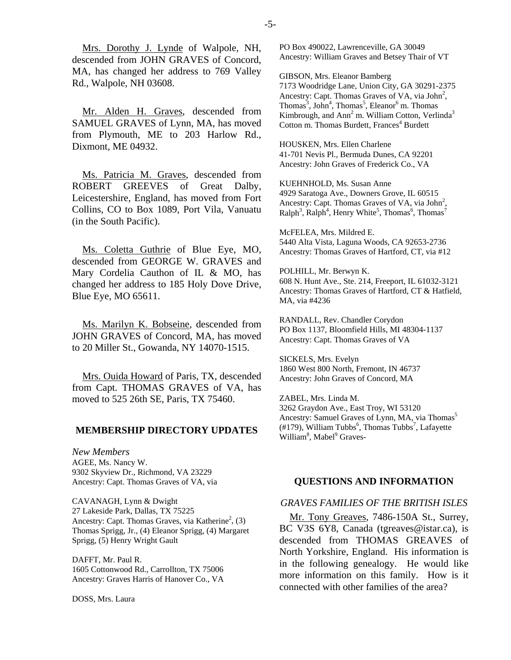Mrs. Dorothy J. Lynde of Walpole, NH, descended from JOHN GRAVES of Concord, MA, has changed her address to 769 Valley Rd., Walpole, NH 03608.

Mr. Alden H. Graves, descended from SAMUEL GRAVES of Lynn, MA, has moved from Plymouth, ME to 203 Harlow Rd., Dixmont, ME 04932.

Ms. Patricia M. Graves, descended from ROBERT GREEVES of Great Dalby, Leicestershire, England, has moved from Fort Collins, CO to Box 1089, Port Vila, Vanuatu (in the South Pacific).

Ms. Coletta Guthrie of Blue Eye, MO, descended from GEORGE W. GRAVES and Mary Cordelia Cauthon of IL & MO, has changed her address to 185 Holy Dove Drive, Blue Eye, MO 65611.

Ms. Marilyn K. Bobseine, descended from JOHN GRAVES of Concord, MA, has moved to 20 Miller St., Gowanda, NY 14070-1515.

Mrs. Ouida Howard of Paris, TX, descended from Capt. THOMAS GRAVES of VA, has moved to 525 26th SE, Paris, TX 75460.

#### **MEMBERSHIP DIRECTORY UPDATES**

*New Members*  AGEE, Ms. Nancy W. 9302 Skyview Dr., Richmond, VA 23229 Ancestry: Capt. Thomas Graves of VA, via

CAVANAGH, Lynn & Dwight 27 Lakeside Park, Dallas, TX 75225 Ancestry: Capt. Thomas Graves, via Katherine<sup>2</sup>, (3) Thomas Sprigg, Jr., (4) Eleanor Sprigg, (4) Margaret Sprigg, (5) Henry Wright Gault

DAFFT, Mr. Paul R. 1605 Cottonwood Rd., Carrollton, TX 75006 Ancestry: Graves Harris of Hanover Co., VA

DOSS, Mrs. Laura

PO Box 490022, Lawrenceville, GA 30049 Ancestry: William Graves and Betsey Thair of VT

GIBSON, Mrs. Eleanor Bamberg 7173 Woodridge Lane, Union City, GA 30291-2375 Ancestry: Capt. Thomas Graves of VA, via John<sup>2</sup>, Thomas<sup>3</sup>, John<sup>4</sup>, Thomas<sup>5</sup>, Eleanor<sup>6</sup> m. Thomas Kimbrough, and  $Ann<sup>2</sup>$ m. William Cotton, Verlinda<sup>3</sup> Cotton m. Thomas Burdett, Frances<sup>4</sup> Burdett

HOUSKEN, Mrs. Ellen Charlene 41-701 Nevis Pl., Bermuda Dunes, CA 92201 Ancestry: John Graves of Frederick Co., VA

KUEHNHOLD, Ms. Susan Anne 4929 Saratoga Ave., Downers Grove, IL 60515 Ancestry: Capt. Thomas Graves of VA, via John<sup>2</sup>,  $\text{Ralph}^3$ ,  $\text{Ralph}^4$ , Henry White<sup>5</sup>, Thomas<sup>6</sup>, Thomas<sup>7</sup>

McFELEA, Mrs. Mildred E. 5440 Alta Vista, Laguna Woods, CA 92653-2736 Ancestry: Thomas Graves of Hartford, CT, via #12

POLHILL, Mr. Berwyn K. 608 N. Hunt Ave., Ste. 214, Freeport, IL 61032-3121 Ancestry: Thomas Graves of Hartford, CT & Hatfield, MA, via #4236

RANDALL, Rev. Chandler Corydon PO Box 1137, Bloomfield Hills, MI 48304-1137 Ancestry: Capt. Thomas Graves of VA

SICKELS, Mrs. Evelyn 1860 West 800 North, Fremont, IN 46737 Ancestry: John Graves of Concord, MA

ZABEL, Mrs. Linda M. 3262 Graydon Ave., East Troy, WI 53120 Ancestry: Samuel Graves of Lynn, MA, via Thomas<sup>5</sup>  $(\text{\#}179)$ , William Tubbs<sup>6</sup>, Thomas Tubbs<sup>7</sup>, Lafayette William<sup>8</sup>, Mabel<sup>9</sup> Graves-

## **QUESTIONS AND INFORMATION**

#### *GRAVES FAMILIES OF THE BRITISH ISLES*

Mr. Tony Greaves, 7486-150A St., Surrey, BC V3S 6Y8, Canada (tgreaves@istar.ca), is descended from THOMAS GREAVES of North Yorkshire, England. His information is in the following genealogy. He would like more information on this family. How is it connected with other families of the area?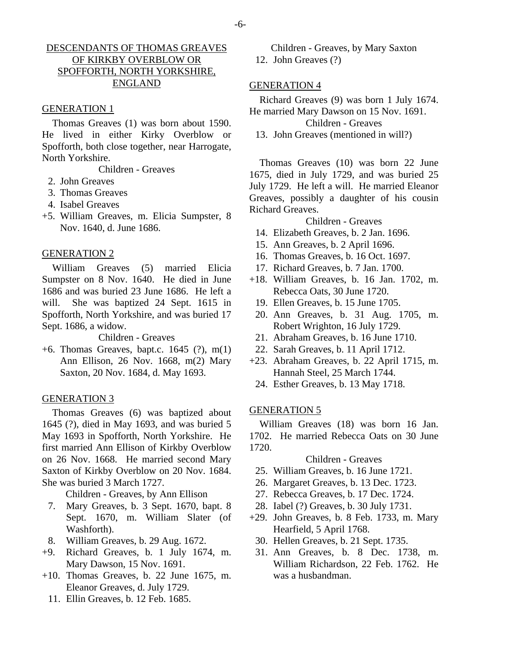## DESCENDANTS OF THOMAS GREAVES OF KIRKBY OVERBLOW OR SPOFFORTH, NORTH YORKSHIRE, ENGLAND

## GENERATION 1

Thomas Greaves (1) was born about 1590. He lived in either Kirky Overblow or Spofforth, both close together, near Harrogate, North Yorkshire.

Children - Greaves

- 2. John Greaves
- 3. Thomas Greaves
- 4. Isabel Greaves
- +5. William Greaves, m. Elicia Sumpster, 8 Nov. 1640, d. June 1686.

## GENERATION 2

William Greaves (5) married Elicia Sumpster on 8 Nov. 1640. He died in June 1686 and was buried 23 June 1686. He left a will. She was baptized 24 Sept. 1615 in Spofforth, North Yorkshire, and was buried 17 Sept. 1686, a widow.

Children - Greaves

+6. Thomas Greaves, bapt.c. 1645 (?), m(1) Ann Ellison, 26 Nov. 1668, m(2) Mary Saxton, 20 Nov. 1684, d. May 1693.

## GENERATION 3

Thomas Greaves (6) was baptized about 1645 (?), died in May 1693, and was buried 5 May 1693 in Spofforth, North Yorkshire. He first married Ann Ellison of Kirkby Overblow on 26 Nov. 1668. He married second Mary Saxton of Kirkby Overblow on 20 Nov. 1684. She was buried 3 March 1727.

Children - Greaves, by Ann Ellison

- 7. Mary Greaves, b. 3 Sept. 1670, bapt. 8 Sept. 1670, m. William Slater (of Washforth).
- 8. William Greaves, b. 29 Aug. 1672.
- +9. Richard Greaves, b. 1 July 1674, m. Mary Dawson, 15 Nov. 1691.
- +10. Thomas Greaves, b. 22 June 1675, m. Eleanor Greaves, d. July 1729.
	- 11. Ellin Greaves, b. 12 Feb. 1685.

Children - Greaves, by Mary Saxton 12. John Greaves (?)

#### GENERATION 4

## Richard Greaves (9) was born 1 July 1674. He married Mary Dawson on 15 Nov. 1691.

Children - Greaves

13. John Greaves (mentioned in will?)

Thomas Greaves (10) was born 22 June 1675, died in July 1729, and was buried 25 July 1729. He left a will. He married Eleanor Greaves, possibly a daughter of his cousin Richard Greaves.

## Children - Greaves

- 14. Elizabeth Greaves, b. 2 Jan. 1696.
- 15. Ann Greaves, b. 2 April 1696.
- 16. Thomas Greaves, b. 16 Oct. 1697.
- 17. Richard Greaves, b. 7 Jan. 1700.
- +18. William Greaves, b. 16 Jan. 1702, m. Rebecca Oats, 30 June 1720.
	- 19. Ellen Greaves, b. 15 June 1705.
	- 20. Ann Greaves, b. 31 Aug. 1705, m. Robert Wrighton, 16 July 1729.
	- 21. Abraham Greaves, b. 16 June 1710.
- 22. Sarah Greaves, b. 11 April 1712.
- +23. Abraham Greaves, b. 22 April 1715, m. Hannah Steel, 25 March 1744.
- 24. Esther Greaves, b. 13 May 1718.

## GENERATION 5

William Greaves (18) was born 16 Jan. 1702. He married Rebecca Oats on 30 June 1720.

## Children - Greaves

- 25. William Greaves, b. 16 June 1721.
- 26. Margaret Greaves, b. 13 Dec. 1723.
- 27. Rebecca Greaves, b. 17 Dec. 1724.
- 28. Iabel (?) Greaves, b. 30 July 1731.
- +29. John Greaves, b. 8 Feb. 1733, m. Mary Hearfield, 5 April 1768.
	- 30. Hellen Greaves, b. 21 Sept. 1735.
	- 31. Ann Greaves, b. 8 Dec. 1738, m. William Richardson, 22 Feb. 1762. He was a husbandman.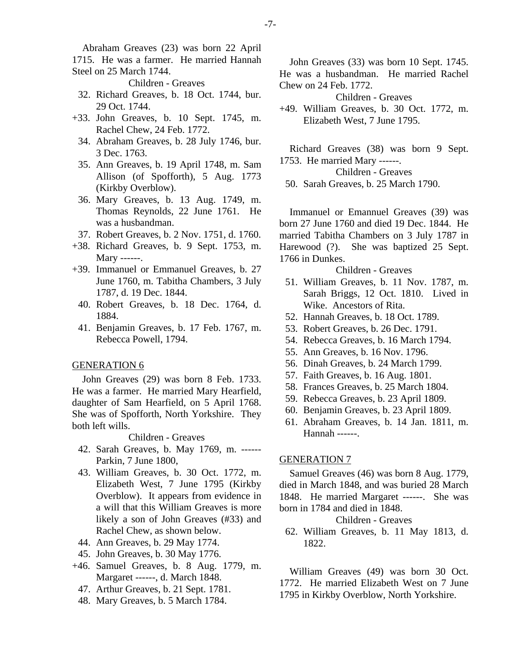Abraham Greaves (23) was born 22 April 1715. He was a farmer. He married Hannah Steel on 25 March 1744.

Children - Greaves

- 32. Richard Greaves, b. 18 Oct. 1744, bur. 29 Oct. 1744.
- +33. John Greaves, b. 10 Sept. 1745, m. Rachel Chew, 24 Feb. 1772.
	- 34. Abraham Greaves, b. 28 July 1746, bur. 3 Dec. 1763.
	- 35. Ann Greaves, b. 19 April 1748, m. Sam Allison (of Spofforth), 5 Aug. 1773 (Kirkby Overblow).
	- 36. Mary Greaves, b. 13 Aug. 1749, m. Thomas Reynolds, 22 June 1761. He was a husbandman.
- 37. Robert Greaves, b. 2 Nov. 1751, d. 1760.
- +38. Richard Greaves, b. 9 Sept. 1753, m. Mary ------.
- +39. Immanuel or Emmanuel Greaves, b. 27 June 1760, m. Tabitha Chambers, 3 July 1787, d. 19 Dec. 1844.
	- 40. Robert Greaves, b. 18 Dec. 1764, d. 1884.
	- 41. Benjamin Greaves, b. 17 Feb. 1767, m. Rebecca Powell, 1794.

#### GENERATION 6

John Greaves (29) was born 8 Feb. 1733. He was a farmer. He married Mary Hearfield, daughter of Sam Hearfield, on 5 April 1768. She was of Spofforth, North Yorkshire. They both left wills.

## Children - Greaves

- 42. Sarah Greaves, b. May 1769, m. ------ Parkin, 7 June 1800,
- 43. William Greaves, b. 30 Oct. 1772, m. Elizabeth West, 7 June 1795 (Kirkby Overblow). It appears from evidence in a will that this William Greaves is more likely a son of John Greaves (#33) and Rachel Chew, as shown below.
- 44. Ann Greaves, b. 29 May 1774.
- 45. John Greaves, b. 30 May 1776.
- +46. Samuel Greaves, b. 8 Aug. 1779, m. Margaret ------, d. March 1848.
	- 47. Arthur Greaves, b. 21 Sept. 1781.
	- 48. Mary Greaves, b. 5 March 1784.

John Greaves (33) was born 10 Sept. 1745. He was a husbandman. He married Rachel Chew on 24 Feb. 1772.

Children - Greaves

+49. William Greaves, b. 30 Oct. 1772, m. Elizabeth West, 7 June 1795.

Richard Greaves (38) was born 9 Sept. 1753. He married Mary ------.

Children - Greaves

50. Sarah Greaves, b. 25 March 1790.

Immanuel or Emannuel Greaves (39) was born 27 June 1760 and died 19 Dec. 1844. He married Tabitha Chambers on 3 July 1787 in Harewood (?). She was baptized 25 Sept. 1766 in Dunkes.

Children - Greaves

- 51. William Greaves, b. 11 Nov. 1787, m. Sarah Briggs, 12 Oct. 1810. Lived in Wike. Ancestors of Rita.
- 52. Hannah Greaves, b. 18 Oct. 1789.
- 53. Robert Greaves, b. 26 Dec. 1791.
- 54. Rebecca Greaves, b. 16 March 1794.
- 55. Ann Greaves, b. 16 Nov. 1796.
- 56. Dinah Greaves, b. 24 March 1799.
- 57. Faith Greaves, b. 16 Aug. 1801.
- 58. Frances Greaves, b. 25 March 1804.
- 59. Rebecca Greaves, b. 23 April 1809.
- 60. Benjamin Greaves, b. 23 April 1809.
- 61. Abraham Greaves, b. 14 Jan. 1811, m. Hannah ------.

#### GENERATION 7

Samuel Greaves (46) was born 8 Aug. 1779, died in March 1848, and was buried 28 March 1848. He married Margaret ------. She was born in 1784 and died in 1848.

Children - Greaves

 62. William Greaves, b. 11 May 1813, d. 1822.

William Greaves (49) was born 30 Oct. 1772. He married Elizabeth West on 7 June 1795 in Kirkby Overblow, North Yorkshire.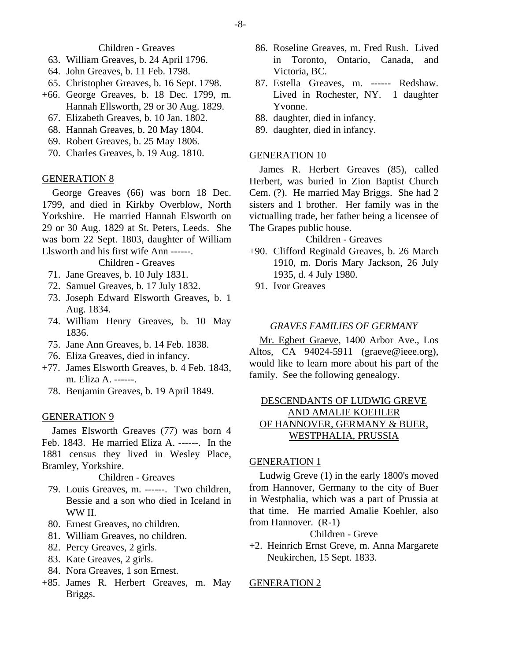Children - Greaves

- 63. William Greaves, b. 24 April 1796.
- 64. John Greaves, b. 11 Feb. 1798.
- 65. Christopher Greaves, b. 16 Sept. 1798.
- +66. George Greaves, b. 18 Dec. 1799, m. Hannah Ellsworth, 29 or 30 Aug. 1829.
	- 67. Elizabeth Greaves, b. 10 Jan. 1802.
	- 68. Hannah Greaves, b. 20 May 1804.
	- 69. Robert Greaves, b. 25 May 1806.
	- 70. Charles Greaves, b. 19 Aug. 1810.

## GENERATION 8

George Greaves (66) was born 18 Dec. 1799, and died in Kirkby Overblow, North Yorkshire. He married Hannah Elsworth on 29 or 30 Aug. 1829 at St. Peters, Leeds. She was born 22 Sept. 1803, daughter of William Elsworth and his first wife Ann ------.

Children - Greaves

- 71. Jane Greaves, b. 10 July 1831.
- 72. Samuel Greaves, b. 17 July 1832.
- 73. Joseph Edward Elsworth Greaves, b. 1 Aug. 1834.
- 74. William Henry Greaves, b. 10 May 1836.
- 75. Jane Ann Greaves, b. 14 Feb. 1838.
- 76. Eliza Greaves, died in infancy.
- +77. James Elsworth Greaves, b. 4 Feb. 1843, m. Eliza A. ------.
	- 78. Benjamin Greaves, b. 19 April 1849.

## GENERATION 9

James Elsworth Greaves (77) was born 4 Feb. 1843. He married Eliza A. ------. In the 1881 census they lived in Wesley Place, Bramley, Yorkshire.

Children - Greaves

- 79. Louis Greaves, m. ------. Two children, Bessie and a son who died in Iceland in WW II.
- 80. Ernest Greaves, no children.
- 81. William Greaves, no children.
- 82. Percy Greaves, 2 girls.
- 83. Kate Greaves, 2 girls.
- 84. Nora Greaves, 1 son Ernest.
- +85. James R. Herbert Greaves, m. May Briggs.
- 86. Roseline Greaves, m. Fred Rush. Lived in Toronto, Ontario, Canada, and Victoria, BC.
- 87. Estella Greaves, m. ------ Redshaw. Lived in Rochester, NY. 1 daughter Yvonne.
- 88. daughter, died in infancy.
- 89. daughter, died in infancy.

## GENERATION 10

James R. Herbert Greaves (85), called Herbert, was buried in Zion Baptist Church Cem. (?). He married May Briggs. She had 2 sisters and 1 brother. Her family was in the victualling trade, her father being a licensee of The Grapes public house.

## Children - Greaves

- +90. Clifford Reginald Greaves, b. 26 March 1910, m. Doris Mary Jackson, 26 July 1935, d. 4 July 1980.
	- 91. Ivor Greaves

## *GRAVES FAMILIES OF GERMANY*

Mr. Egbert Graeve, 1400 Arbor Ave., Los Altos, CA 94024-5911 (graeve@ieee.org), would like to learn more about his part of the family. See the following genealogy.

## DESCENDANTS OF LUDWIG GREVE AND AMALIE KOEHLER OF HANNOVER, GERMANY & BUER, WESTPHALIA, PRUSSIA

#### GENERATION 1

Ludwig Greve (1) in the early 1800's moved from Hannover, Germany to the city of Buer in Westphalia, which was a part of Prussia at that time. He married Amalie Koehler, also from Hannover. (R-1)

## Children - Greve

+2. Heinrich Ernst Greve, m. Anna Margarete Neukirchen, 15 Sept. 1833.

## GENERATION 2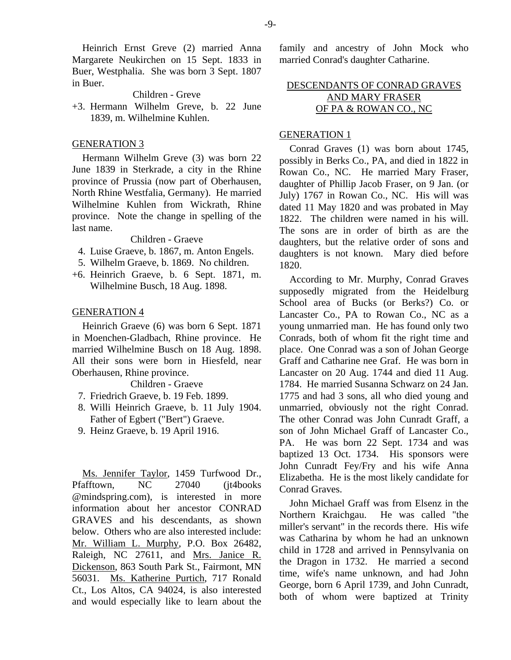Heinrich Ernst Greve (2) married Anna Margarete Neukirchen on 15 Sept. 1833 in Buer, Westphalia. She was born 3 Sept. 1807 in Buer.

Children - Greve

+3. Hermann Wilhelm Greve, b. 22 June 1839, m. Wilhelmine Kuhlen.

## GENERATION 3

Hermann Wilhelm Greve (3) was born 22 June 1839 in Sterkrade, a city in the Rhine province of Prussia (now part of Oberhausen, North Rhine Westfalia, Germany). He married Wilhelmine Kuhlen from Wickrath, Rhine province. Note the change in spelling of the last name.

#### Children - Graeve

- 4. Luise Graeve, b. 1867, m. Anton Engels.
- 5. Wilhelm Graeve, b. 1869. No children.
- +6. Heinrich Graeve, b. 6 Sept. 1871, m. Wilhelmine Busch, 18 Aug. 1898.

## GENERATION 4

Heinrich Graeve (6) was born 6 Sept. 1871 in Moenchen-Gladbach, Rhine province. He married Wilhelmine Busch on 18 Aug. 1898. All their sons were born in Hiesfeld, near Oberhausen, Rhine province.

Children - Graeve

- 7. Friedrich Graeve, b. 19 Feb. 1899.
- 8. Willi Heinrich Graeve, b. 11 July 1904. Father of Egbert ("Bert") Graeve.
- 9. Heinz Graeve, b. 19 April 1916.

Ms. Jennifer Taylor, 1459 Turfwood Dr., Pfafftown, NC 27040 (jt4books @mindspring.com), is interested in more information about her ancestor CONRAD GRAVES and his descendants, as shown below. Others who are also interested include: Mr. William L. Murphy, P.O. Box 26482, Raleigh, NC 27611, and Mrs. Janice R. Dickenson, 863 South Park St., Fairmont, MN 56031. Ms. Katherine Purtich, 717 Ronald Ct., Los Altos, CA 94024, is also interested and would especially like to learn about the

family and ancestry of John Mock who married Conrad's daughter Catharine.

## DESCENDANTS OF CONRAD GRAVES AND MARY FRASER OF PA & ROWAN CO., NC

## GENERATION 1

Conrad Graves (1) was born about 1745, possibly in Berks Co., PA, and died in 1822 in Rowan Co., NC. He married Mary Fraser, daughter of Phillip Jacob Fraser, on 9 Jan. (or July) 1767 in Rowan Co., NC. His will was dated 11 May 1820 and was probated in May 1822. The children were named in his will. The sons are in order of birth as are the daughters, but the relative order of sons and daughters is not known. Mary died before 1820.

According to Mr. Murphy, Conrad Graves supposedly migrated from the Heidelburg School area of Bucks (or Berks?) Co. or Lancaster Co., PA to Rowan Co., NC as a young unmarried man. He has found only two Conrads, both of whom fit the right time and place. One Conrad was a son of Johan George Graff and Catharine nee Graf. He was born in Lancaster on 20 Aug. 1744 and died 11 Aug. 1784. He married Susanna Schwarz on 24 Jan. 1775 and had 3 sons, all who died young and unmarried, obviously not the right Conrad. The other Conrad was John Cunradt Graff, a son of John Michael Graff of Lancaster Co., PA. He was born 22 Sept. 1734 and was baptized 13 Oct. 1734. His sponsors were John Cunradt Fey/Fry and his wife Anna Elizabetha. He is the most likely candidate for Conrad Graves.

John Michael Graff was from Elsenz in the Northern Kraichgau. He was called "the miller's servant" in the records there. His wife was Catharina by whom he had an unknown child in 1728 and arrived in Pennsylvania on the Dragon in 1732. He married a second time, wife's name unknown, and had John George, born 6 April 1739, and John Cunradt, both of whom were baptized at Trinity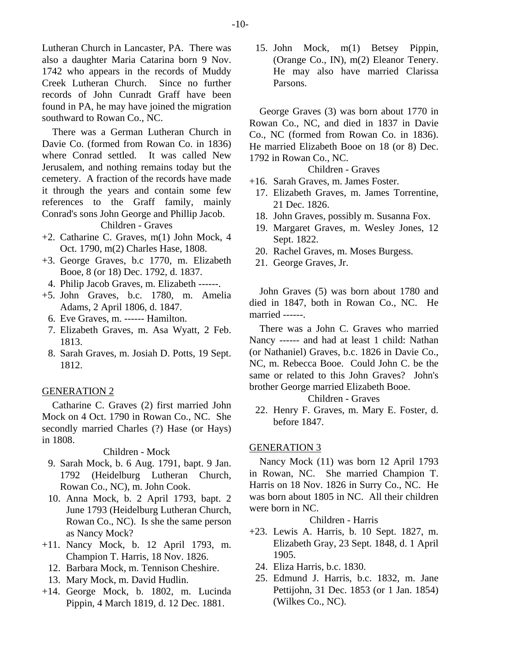Lutheran Church in Lancaster, PA. There was also a daughter Maria Catarina born 9 Nov. 1742 who appears in the records of Muddy Creek Lutheran Church. Since no further records of John Cunradt Graff have been found in PA, he may have joined the migration southward to Rowan Co., NC.

There was a German Lutheran Church in Davie Co. (formed from Rowan Co. in 1836) where Conrad settled. It was called New Jerusalem, and nothing remains today but the cemetery. A fraction of the records have made it through the years and contain some few references to the Graff family, mainly Conrad's sons John George and Phillip Jacob.

Children - Graves

- +2. Catharine C. Graves, m(1) John Mock, 4 Oct. 1790, m(2) Charles Hase, 1808.
- +3. George Graves, b.c 1770, m. Elizabeth Booe, 8 (or 18) Dec. 1792, d. 1837.
	- 4. Philip Jacob Graves, m. Elizabeth ------.
- +5. John Graves, b.c. 1780, m. Amelia Adams, 2 April 1806, d. 1847.
	- 6. Eve Graves, m. ------ Hamilton.
	- 7. Elizabeth Graves, m. Asa Wyatt, 2 Feb. 1813.
	- 8. Sarah Graves, m. Josiah D. Potts, 19 Sept. 1812.

#### GENERATION 2

Catharine C. Graves (2) first married John Mock on 4 Oct. 1790 in Rowan Co., NC. She secondly married Charles (?) Hase (or Hays) in 1808.

Children - Mock

- 9. Sarah Mock, b. 6 Aug. 1791, bapt. 9 Jan. 1792 (Heidelburg Lutheran Church, Rowan Co., NC), m. John Cook.
- 10. Anna Mock, b. 2 April 1793, bapt. 2 June 1793 (Heidelburg Lutheran Church, Rowan Co., NC). Is she the same person as Nancy Mock?
- +11. Nancy Mock, b. 12 April 1793, m. Champion T. Harris, 18 Nov. 1826.
	- 12. Barbara Mock, m. Tennison Cheshire.
	- 13. Mary Mock, m. David Hudlin.
- +14. George Mock, b. 1802, m. Lucinda Pippin, 4 March 1819, d. 12 Dec. 1881.

 15. John Mock, m(1) Betsey Pippin, (Orange Co., IN), m(2) Eleanor Tenery. He may also have married Clarissa Parsons.

George Graves (3) was born about 1770 in Rowan Co., NC, and died in 1837 in Davie Co., NC (formed from Rowan Co. in 1836). He married Elizabeth Booe on 18 (or 8) Dec. 1792 in Rowan Co., NC.

Children - Graves

- +16. Sarah Graves, m. James Foster.
	- 17. Elizabeth Graves, m. James Torrentine, 21 Dec. 1826.
	- 18. John Graves, possibly m. Susanna Fox.
	- 19. Margaret Graves, m. Wesley Jones, 12 Sept. 1822.
	- 20. Rachel Graves, m. Moses Burgess.
	- 21. George Graves, Jr.

John Graves (5) was born about 1780 and died in 1847, both in Rowan Co., NC. He married ------.

There was a John C. Graves who married Nancy ------ and had at least 1 child: Nathan (or Nathaniel) Graves, b.c. 1826 in Davie Co., NC, m. Rebecca Booe. Could John C. be the same or related to this John Graves? John's brother George married Elizabeth Booe.

## Children - Graves

 22. Henry F. Graves, m. Mary E. Foster, d. before 1847.

#### GENERATION 3

Nancy Mock (11) was born 12 April 1793 in Rowan, NC. She married Champion T. Harris on 18 Nov. 1826 in Surry Co., NC. He was born about 1805 in NC. All their children were born in NC.

Children - Harris

- +23. Lewis A. Harris, b. 10 Sept. 1827, m. Elizabeth Gray, 23 Sept. 1848, d. 1 April 1905.
	- 24. Eliza Harris, b.c. 1830.
	- 25. Edmund J. Harris, b.c. 1832, m. Jane Pettijohn, 31 Dec. 1853 (or 1 Jan. 1854) (Wilkes Co., NC).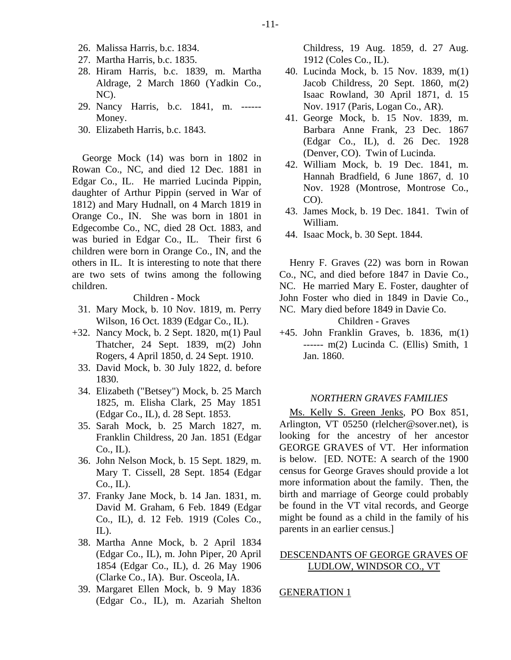- 26. Malissa Harris, b.c. 1834.
- 27. Martha Harris, b.c. 1835.
- 28. Hiram Harris, b.c. 1839, m. Martha Aldrage, 2 March 1860 (Yadkin Co., NC).
- 29. Nancy Harris, b.c. 1841, m. ------ Money.
- 30. Elizabeth Harris, b.c. 1843.

George Mock (14) was born in 1802 in Rowan Co., NC, and died 12 Dec. 1881 in Edgar Co., IL. He married Lucinda Pippin, daughter of Arthur Pippin (served in War of 1812) and Mary Hudnall, on 4 March 1819 in Orange Co., IN. She was born in 1801 in Edgecombe Co., NC, died 28 Oct. 1883, and was buried in Edgar Co., IL. Their first 6 children were born in Orange Co., IN, and the others in IL. It is interesting to note that there are two sets of twins among the following children.

Children - Mock

- 31. Mary Mock, b. 10 Nov. 1819, m. Perry Wilson, 16 Oct. 1839 (Edgar Co., IL).
- +32. Nancy Mock, b. 2 Sept. 1820, m(1) Paul Thatcher, 24 Sept. 1839, m(2) John Rogers, 4 April 1850, d. 24 Sept. 1910.
	- 33. David Mock, b. 30 July 1822, d. before 1830.
	- 34. Elizabeth ("Betsey") Mock, b. 25 March 1825, m. Elisha Clark, 25 May 1851 (Edgar Co., IL), d. 28 Sept. 1853.
	- 35. Sarah Mock, b. 25 March 1827, m. Franklin Childress, 20 Jan. 1851 (Edgar Co., IL).
	- 36. John Nelson Mock, b. 15 Sept. 1829, m. Mary T. Cissell, 28 Sept. 1854 (Edgar  $Co., IL$ ).
	- 37. Franky Jane Mock, b. 14 Jan. 1831, m. David M. Graham, 6 Feb. 1849 (Edgar Co., IL), d. 12 Feb. 1919 (Coles Co.,  $IL$ ).
	- 38. Martha Anne Mock, b. 2 April 1834 (Edgar Co., IL), m. John Piper, 20 April 1854 (Edgar Co., IL), d. 26 May 1906 (Clarke Co., IA). Bur. Osceola, IA.
	- 39. Margaret Ellen Mock, b. 9 May 1836 (Edgar Co., IL), m. Azariah Shelton

Childress, 19 Aug. 1859, d. 27 Aug. 1912 (Coles Co., IL).

- 40. Lucinda Mock, b. 15 Nov. 1839, m(1) Jacob Childress, 20 Sept. 1860, m(2) Isaac Rowland, 30 April 1871, d. 15 Nov. 1917 (Paris, Logan Co., AR).
- 41. George Mock, b. 15 Nov. 1839, m. Barbara Anne Frank, 23 Dec. 1867 (Edgar Co., IL), d. 26 Dec. 1928 (Denver, CO). Twin of Lucinda.
- 42. William Mock, b. 19 Dec. 1841, m. Hannah Bradfield, 6 June 1867, d. 10 Nov. 1928 (Montrose, Montrose Co.,  $CO$ ).
- 43. James Mock, b. 19 Dec. 1841. Twin of William.
- 44. Isaac Mock, b. 30 Sept. 1844.

Henry F. Graves (22) was born in Rowan Co., NC, and died before 1847 in Davie Co., NC. He married Mary E. Foster, daughter of John Foster who died in 1849 in Davie Co.,

NC. Mary died before 1849 in Davie Co.

Children - Graves

+45. John Franklin Graves, b. 1836, m(1) ------ m(2) Lucinda C. (Ellis) Smith, 1 Jan. 1860.

## *NORTHERN GRAVES FAMILIES*

Ms. Kelly S. Green Jenks, PO Box 851, Arlington, VT 05250 (rlelcher@sover.net), is looking for the ancestry of her ancestor GEORGE GRAVES of VT. Her information is below. [ED. NOTE: A search of the 1900 census for George Graves should provide a lot more information about the family. Then, the birth and marriage of George could probably be found in the VT vital records, and George might be found as a child in the family of his parents in an earlier census.]

## DESCENDANTS OF GEORGE GRAVES OF LUDLOW, WINDSOR CO., VT

#### GENERATION 1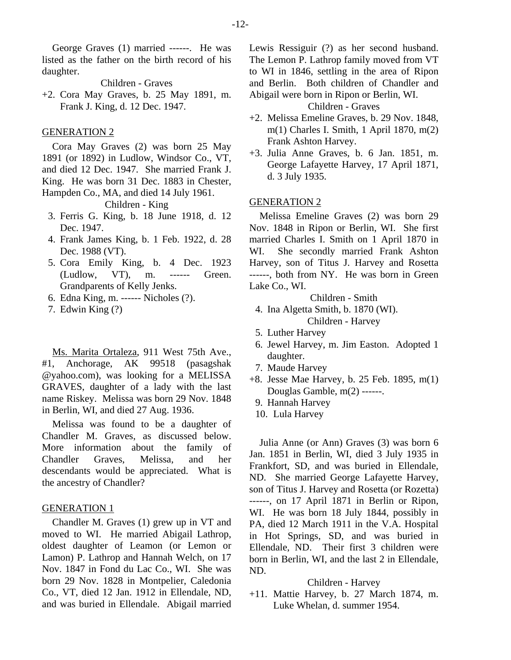George Graves (1) married ------. He was listed as the father on the birth record of his daughter.

Children - Graves

+2. Cora May Graves, b. 25 May 1891, m. Frank J. King, d. 12 Dec. 1947.

## GENERATION 2

Cora May Graves (2) was born 25 May 1891 (or 1892) in Ludlow, Windsor Co., VT, and died 12 Dec. 1947. She married Frank J. King. He was born 31 Dec. 1883 in Chester, Hampden Co., MA, and died 14 July 1961.

Children - King

- 3. Ferris G. King, b. 18 June 1918, d. 12 Dec. 1947.
- 4. Frank James King, b. 1 Feb. 1922, d. 28 Dec. 1988 (VT).
- 5. Cora Emily King, b. 4 Dec. 1923 (Ludlow, VT), m. ------ Green. Grandparents of Kelly Jenks.
- 6. Edna King, m. ------ Nicholes (?).
- 7. Edwin King (?)

Ms. Marita Ortaleza, 911 West 75th Ave., #1, Anchorage, AK 99518 (pasagshak @yahoo.com), was looking for a MELISSA GRAVES, daughter of a lady with the last name Riskey. Melissa was born 29 Nov. 1848 in Berlin, WI, and died 27 Aug. 1936.

Melissa was found to be a daughter of Chandler M. Graves, as discussed below. More information about the family of Chandler Graves, Melissa, and her descendants would be appreciated. What is the ancestry of Chandler?

## GENERATION 1

Chandler M. Graves (1) grew up in VT and moved to WI. He married Abigail Lathrop, oldest daughter of Leamon (or Lemon or Lamon) P. Lathrop and Hannah Welch, on 17 Nov. 1847 in Fond du Lac Co., WI. She was born 29 Nov. 1828 in Montpelier, Caledonia Co., VT, died 12 Jan. 1912 in Ellendale, ND, and was buried in Ellendale. Abigail married

Lewis Ressiguir (?) as her second husband. The Lemon P. Lathrop family moved from VT to WI in 1846, settling in the area of Ripon and Berlin. Both children of Chandler and Abigail were born in Ripon or Berlin, WI.

Children - Graves

- +2. Melissa Emeline Graves, b. 29 Nov. 1848, m(1) Charles I. Smith, 1 April 1870, m(2) Frank Ashton Harvey.
- +3. Julia Anne Graves, b. 6 Jan. 1851, m. George Lafayette Harvey, 17 April 1871, d. 3 July 1935.

#### GENERATION 2

Melissa Emeline Graves (2) was born 29 Nov. 1848 in Ripon or Berlin, WI. She first married Charles I. Smith on 1 April 1870 in WI. She secondly married Frank Ashton Harvey, son of Titus J. Harvey and Rosetta ------, both from NY. He was born in Green Lake Co., WI.

Children - Smith

- 4. Ina Algetta Smith, b. 1870 (WI). Children - Harvey
- 5. Luther Harvey
- 6. Jewel Harvey, m. Jim Easton. Adopted 1 daughter.
- 7. Maude Harvey
- +8. Jesse Mae Harvey, b. 25 Feb. 1895, m(1) Douglas Gamble, m(2) ------.
	- 9. Hannah Harvey
	- 10. Lula Harvey

Julia Anne (or Ann) Graves (3) was born 6 Jan. 1851 in Berlin, WI, died 3 July 1935 in Frankfort, SD, and was buried in Ellendale, ND. She married George Lafayette Harvey, son of Titus J. Harvey and Rosetta (or Rozetta) ------, on 17 April 1871 in Berlin or Ripon, WI. He was born 18 July 1844, possibly in PA, died 12 March 1911 in the V.A. Hospital in Hot Springs, SD, and was buried in Ellendale, ND. Their first 3 children were born in Berlin, WI, and the last 2 in Ellendale, ND.

#### Children - Harvey

+11. Mattie Harvey, b. 27 March 1874, m. Luke Whelan, d. summer 1954.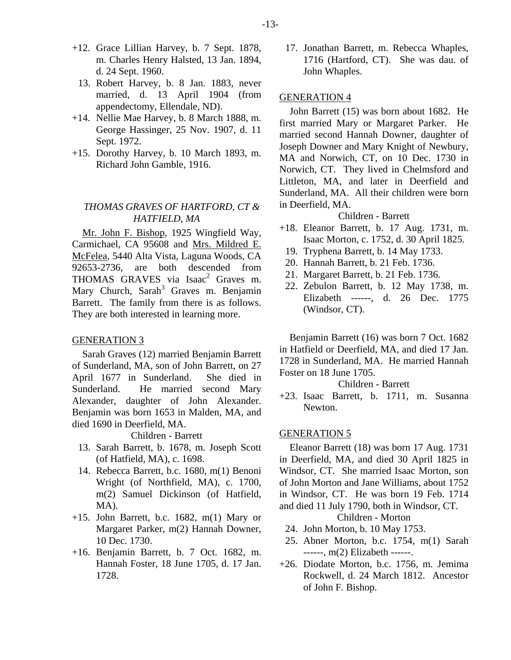- +12. Grace Lillian Harvey, b. 7 Sept. 1878, m. Charles Henry Halsted, 13 Jan. 1894, d. 24 Sept. 1960.
	- 13. Robert Harvey, b. 8 Jan. 1883, never married, d. 13 April 1904 (from appendectomy, Ellendale, ND).
- +14. Nellie Mae Harvey, b. 8 March 1888, m. George Hassinger, 25 Nov. 1907, d. 11 Sept. 1972.
- +15. Dorothy Harvey, b. 10 March 1893, m. Richard John Gamble, 1916.

## *THOMAS GRAVES OF HARTFORD, CT & HATFIELD, MA*

Mr. John F. Bishop, 1925 Wingfield Way, Carmichael, CA 95608 and Mrs. Mildred E. McFelea, 5440 Alta Vista, Laguna Woods, CA 92653-2736, are both descended from THOMAS GRAVES via Isaac<sup>2</sup> Graves m. Mary Church, Sarah<sup>3</sup> Graves m. Benjamin Barrett. The family from there is as follows. They are both interested in learning more.

## GENERATION 3

Sarah Graves (12) married Benjamin Barrett of Sunderland, MA, son of John Barrett, on 27 April 1677 in Sunderland. She died in Sunderland. He married second Mary Alexander, daughter of John Alexander. Benjamin was born 1653 in Malden, MA, and died 1690 in Deerfield, MA.

Children - Barrett

- 13. Sarah Barrett, b. 1678, m. Joseph Scott (of Hatfield, MA), c. 1698.
- 14. Rebecca Barrett, b.c. 1680, m(1) Benoni Wright (of Northfield, MA), c. 1700, m(2) Samuel Dickinson (of Hatfield, MA).
- +15. John Barrett, b.c. 1682, m(1) Mary or Margaret Parker, m(2) Hannah Downer, 10 Dec. 1730.
- +16. Benjamin Barrett, b. 7 Oct. 1682, m. Hannah Foster, 18 June 1705, d. 17 Jan. 1728.

 17. Jonathan Barrett, m. Rebecca Whaples, 1716 (Hartford, CT). She was dau. of John Whaples.

## GENERATION 4

John Barrett (15) was born about 1682. He first married Mary or Margaret Parker. He married second Hannah Downer, daughter of Joseph Downer and Mary Knight of Newbury, MA and Norwich, CT, on 10 Dec. 1730 in Norwich, CT. They lived in Chelmsford and Littleton, MA, and later in Deerfield and Sunderland, MA. All their children were born in Deerfield, MA.

#### Children - Barrett

- +18. Eleanor Barrett, b. 17 Aug. 1731, m. Isaac Morton, c. 1752, d. 30 April 1825.
- 19. Tryphena Barrett, b. 14 May 1733.
- 20. Hannah Barrett, b. 21 Feb. 1736.
- 21. Margaret Barrett, b. 21 Feb. 1736.
- 22. Zebulon Barrett, b. 12 May 1738, m. Elizabeth ------, d. 26 Dec. 1775 (Windsor, CT).

Benjamin Barrett (16) was born 7 Oct. 1682 in Hatfield or Deerfield, MA, and died 17 Jan. 1728 in Sunderland, MA. He married Hannah Foster on 18 June 1705.

Children - Barrett

+23. Isaac Barrett, b. 1711, m. Susanna Newton.

#### GENERATION 5

Eleanor Barrett (18) was born 17 Aug. 1731 in Deerfield, MA, and died 30 April 1825 in Windsor, CT. She married Isaac Morton, son of John Morton and Jane Williams, about 1752 in Windsor, CT. He was born 19 Feb. 1714 and died 11 July 1790, both in Windsor, CT.

Children - Morton

- 24. John Morton, b. 10 May 1753.
- 25. Abner Morton, b.c. 1754, m(1) Sarah ------, m(2) Elizabeth ------.
- +26. Diodate Morton, b.c. 1756, m. Jemima Rockwell, d. 24 March 1812. Ancestor of John F. Bishop.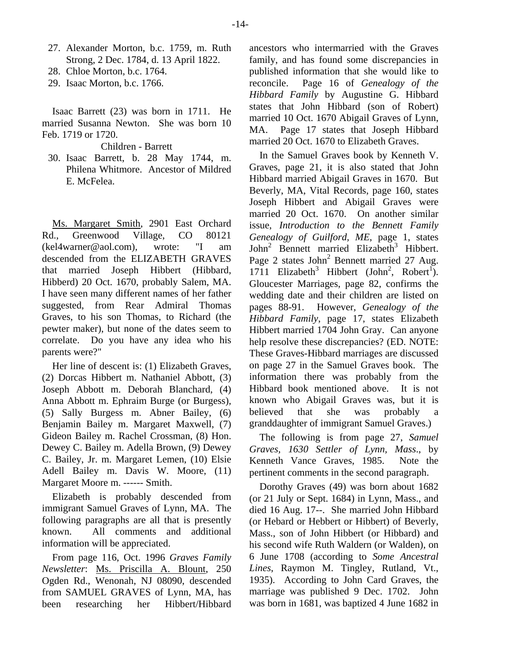- 27. Alexander Morton, b.c. 1759, m. Ruth Strong, 2 Dec. 1784, d. 13 April 1822.
- 28. Chloe Morton, b.c. 1764.
- 29. Isaac Morton, b.c. 1766.

Isaac Barrett (23) was born in 1711. He married Susanna Newton. She was born 10 Feb. 1719 or 1720.

Children - Barrett

 30. Isaac Barrett, b. 28 May 1744, m. Philena Whitmore. Ancestor of Mildred E. McFelea.

Ms. Margaret Smith, 2901 East Orchard Rd., Greenwood Village, CO 80121 (kel4warner@aol.com), wrote: "I am descended from the ELIZABETH GRAVES that married Joseph Hibbert (Hibbard, Hibberd) 20 Oct. 1670, probably Salem, MA. I have seen many different names of her father suggested, from Rear Admiral Thomas Graves, to his son Thomas, to Richard (the pewter maker), but none of the dates seem to correlate. Do you have any idea who his parents were?"

Her line of descent is: (1) Elizabeth Graves, (2) Dorcas Hibbert m. Nathaniel Abbott, (3) Joseph Abbott m. Deborah Blanchard, (4) Anna Abbott m. Ephraim Burge (or Burgess), (5) Sally Burgess m. Abner Bailey, (6) Benjamin Bailey m. Margaret Maxwell, (7) Gideon Bailey m. Rachel Crossman, (8) Hon. Dewey C. Bailey m. Adella Brown, (9) Dewey C. Bailey, Jr. m. Margaret Lemen, (10) Elsie Adell Bailey m. Davis W. Moore, (11) Margaret Moore m. ------ Smith.

Elizabeth is probably descended from immigrant Samuel Graves of Lynn, MA. The following paragraphs are all that is presently known. All comments and additional information will be appreciated.

From page 116, Oct. 1996 *Graves Family Newsletter*: Ms. Priscilla A. Blount, 250 Ogden Rd., Wenonah, NJ 08090, descended from SAMUEL GRAVES of Lynn, MA, has been researching her Hibbert/Hibbard

ancestors who intermarried with the Graves family, and has found some discrepancies in published information that she would like to reconcile. Page 16 of *Genealogy of the Hibbard Family* by Augustine G. Hibbard states that John Hibbard (son of Robert) married 10 Oct. 1670 Abigail Graves of Lynn, MA. Page 17 states that Joseph Hibbard married 20 Oct. 1670 to Elizabeth Graves.

In the Samuel Graves book by Kenneth V. Graves, page 21, it is also stated that John Hibbard married Abigail Graves in 1670. But Beverly, MA, Vital Records, page 160, states Joseph Hibbert and Abigail Graves were married 20 Oct. 1670. On another similar issue, *Introduction to the Bennett Family Genealogy of Guilford, ME*, page 1, states John<sup>2</sup> Bennett married Elizabeth<sup>3</sup> Hibbert. Page 2 states John<sup>2</sup> Bennett married 27 Aug. 1711 Elizabeth<sup>3</sup> Hibbert (John<sup>2</sup>, Robert<sup>1</sup>). Gloucester Marriages, page 82, confirms the wedding date and their children are listed on pages 88-91. However, *Genealogy of the Hibbard Family*, page 17, states Elizabeth Hibbert married 1704 John Gray. Can anyone help resolve these discrepancies? (ED. NOTE: These Graves-Hibbard marriages are discussed on page 27 in the Samuel Graves book. The information there was probably from the Hibbard book mentioned above. It is not known who Abigail Graves was, but it is believed that she was probably a granddaughter of immigrant Samuel Graves.)

The following is from page 27, *Samuel Graves, 1630 Settler of Lynn, Mass*., by Kenneth Vance Graves, 1985. Note the pertinent comments in the second paragraph.

Dorothy Graves (49) was born about 1682 (or 21 July or Sept. 1684) in Lynn, Mass., and died 16 Aug. 17--. She married John Hibbard (or Hebard or Hebbert or Hibbert) of Beverly, Mass., son of John Hibbert (or Hibbard) and his second wife Ruth Waldern (or Walden), on 6 June 1708 (according to *Some Ancestral Lines*, Raymon M. Tingley, Rutland, Vt., 1935). According to John Card Graves, the marriage was published 9 Dec. 1702. John was born in 1681, was baptized 4 June 1682 in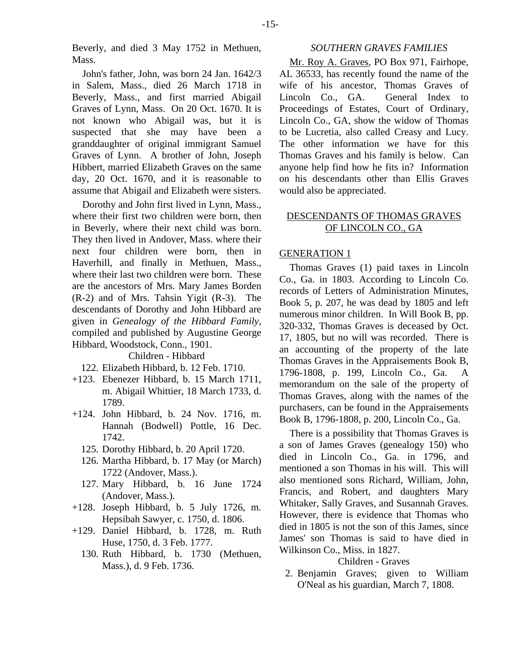Beverly, and died 3 May 1752 in Methuen, Mass.

John's father, John, was born 24 Jan. 1642/3 in Salem, Mass., died 26 March 1718 in Beverly, Mass., and first married Abigail Graves of Lynn, Mass. On 20 Oct. 1670. It is not known who Abigail was, but it is suspected that she may have been a granddaughter of original immigrant Samuel Graves of Lynn. A brother of John, Joseph Hibbert, married Elizabeth Graves on the same day, 20 Oct. 1670, and it is reasonable to assume that Abigail and Elizabeth were sisters.

Dorothy and John first lived in Lynn, Mass., where their first two children were born, then in Beverly, where their next child was born. They then lived in Andover, Mass. where their next four children were born, then in Haverhill, and finally in Methuen, Mass., where their last two children were born. These are the ancestors of Mrs. Mary James Borden (R-2) and of Mrs. Tahsin Yigit (R-3). The descendants of Dorothy and John Hibbard are given in *Genealogy of the Hibbard Family*, compiled and published by Augustine George Hibbard, Woodstock, Conn., 1901.

## Children - Hibbard

- 122. Elizabeth Hibbard, b. 12 Feb. 1710.
- +123. Ebenezer Hibbard, b. 15 March 1711, m. Abigail Whittier, 18 March 1733, d. 1789.
- +124. John Hibbard, b. 24 Nov. 1716, m. Hannah (Bodwell) Pottle, 16 Dec. 1742.
	- 125. Dorothy Hibbard, b. 20 April 1720.
	- 126. Martha Hibbard, b. 17 May (or March) 1722 (Andover, Mass.).
	- 127. Mary Hibbard, b. 16 June 1724 (Andover, Mass.).
- +128. Joseph Hibbard, b. 5 July 1726, m. Hepsibah Sawyer, c. 1750, d. 1806.
- +129. Daniel Hibbard, b. 1728, m. Ruth Huse, 1750, d. 3 Feb. 1777.
	- 130. Ruth Hibbard, b. 1730 (Methuen, Mass.), d. 9 Feb. 1736.

#### *SOUTHERN GRAVES FAMILIES*

Mr. Roy A. Graves, PO Box 971, Fairhope, AL 36533, has recently found the name of the wife of his ancestor, Thomas Graves of Lincoln Co., GA. General Index to Proceedings of Estates, Court of Ordinary, Lincoln Co., GA, show the widow of Thomas to be Lucretia, also called Creasy and Lucy. The other information we have for this Thomas Graves and his family is below. Can anyone help find how he fits in? Information on his descendants other than Ellis Graves would also be appreciated.

## DESCENDANTS OF THOMAS GRAVES OF LINCOLN CO., GA

## GENERATION 1

Thomas Graves (1) paid taxes in Lincoln Co., Ga. in 1803. According to Lincoln Co. records of Letters of Administration Minutes, Book 5, p. 207, he was dead by 1805 and left numerous minor children. In Will Book B, pp. 320-332, Thomas Graves is deceased by Oct. 17, 1805, but no will was recorded. There is an accounting of the property of the late Thomas Graves in the Appraisements Book B, 1796-1808, p. 199, Lincoln Co., Ga. A memorandum on the sale of the property of Thomas Graves, along with the names of the purchasers, can be found in the Appraisements Book B, 1796-1808, p. 200, Lincoln Co., Ga.

There is a possibility that Thomas Graves is a son of James Graves (genealogy 150) who died in Lincoln Co., Ga. in 1796, and mentioned a son Thomas in his will. This will also mentioned sons Richard, William, John, Francis, and Robert, and daughters Mary Whitaker, Sally Graves, and Susannah Graves. However, there is evidence that Thomas who died in 1805 is not the son of this James, since James' son Thomas is said to have died in Wilkinson Co., Miss. in 1827.

#### Children - Graves

 2. Benjamin Graves; given to William O'Neal as his guardian, March 7, 1808.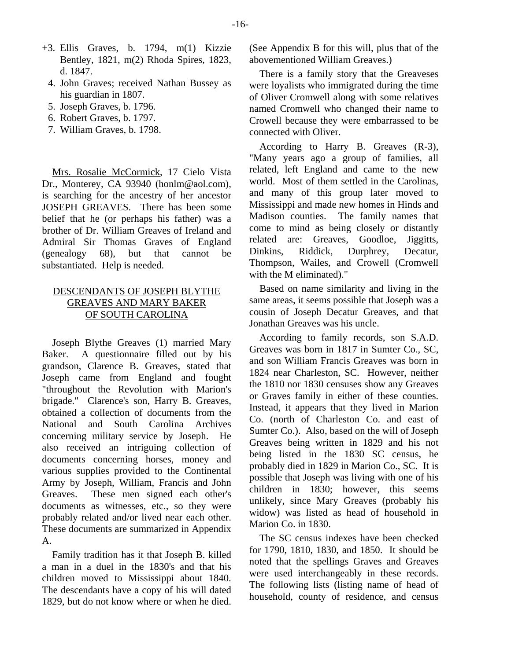- +3. Ellis Graves, b. 1794, m(1) Kizzie Bentley, 1821, m(2) Rhoda Spires, 1823, d. 1847.
	- 4. John Graves; received Nathan Bussey as his guardian in 1807.
	- 5. Joseph Graves, b. 1796.
	- 6. Robert Graves, b. 1797.
	- 7. William Graves, b. 1798.

Mrs. Rosalie McCormick, 17 Cielo Vista Dr., Monterey, CA 93940 (honlm@aol.com), is searching for the ancestry of her ancestor JOSEPH GREAVES. There has been some belief that he (or perhaps his father) was a brother of Dr. William Greaves of Ireland and Admiral Sir Thomas Graves of England (genealogy 68), but that cannot be substantiated. Help is needed.

## DESCENDANTS OF JOSEPH BLYTHE GREAVES AND MARY BAKER OF SOUTH CAROLINA

Joseph Blythe Greaves (1) married Mary Baker. A questionnaire filled out by his grandson, Clarence B. Greaves, stated that Joseph came from England and fought "throughout the Revolution with Marion's brigade." Clarence's son, Harry B. Greaves, obtained a collection of documents from the National and South Carolina Archives concerning military service by Joseph. He also received an intriguing collection of documents concerning horses, money and various supplies provided to the Continental Army by Joseph, William, Francis and John Greaves. These men signed each other's documents as witnesses, etc., so they were probably related and/or lived near each other. These documents are summarized in Appendix A.

Family tradition has it that Joseph B. killed a man in a duel in the 1830's and that his children moved to Mississippi about 1840. The descendants have a copy of his will dated 1829, but do not know where or when he died.

(See Appendix B for this will, plus that of the abovementioned William Greaves.)

There is a family story that the Greaveses were loyalists who immigrated during the time of Oliver Cromwell along with some relatives named Cromwell who changed their name to Crowell because they were embarrassed to be connected with Oliver.

According to Harry B. Greaves (R-3), "Many years ago a group of families, all related, left England and came to the new world. Most of them settled in the Carolinas. and many of this group later moved to Mississippi and made new homes in Hinds and Madison counties. The family names that come to mind as being closely or distantly related are: Greaves, Goodloe, Jiggitts, Dinkins, Riddick, Durphrey, Decatur, Thompson, Wailes, and Crowell (Cromwell with the M eliminated)."

Based on name similarity and living in the same areas, it seems possible that Joseph was a cousin of Joseph Decatur Greaves, and that Jonathan Greaves was his uncle.

According to family records, son S.A.D. Greaves was born in 1817 in Sumter Co., SC, and son William Francis Greaves was born in 1824 near Charleston, SC. However, neither the 1810 nor 1830 censuses show any Greaves or Graves family in either of these counties. Instead, it appears that they lived in Marion Co. (north of Charleston Co. and east of Sumter Co.). Also, based on the will of Joseph Greaves being written in 1829 and his not being listed in the 1830 SC census, he probably died in 1829 in Marion Co., SC. It is possible that Joseph was living with one of his children in 1830; however, this seems unlikely, since Mary Greaves (probably his widow) was listed as head of household in Marion Co. in 1830.

The SC census indexes have been checked for 1790, 1810, 1830, and 1850. It should be noted that the spellings Graves and Greaves were used interchangeably in these records. The following lists (listing name of head of household, county of residence, and census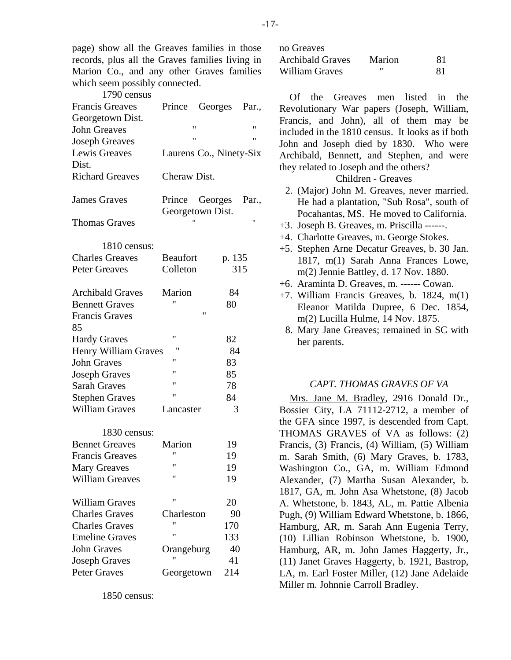page) show all the Greaves families in those records, plus all the Graves families living in Marion Co., and any other Graves families which seem possibly connected.

| 1790 census             |                                    |             |       |
|-------------------------|------------------------------------|-------------|-------|
| <b>Francis Greaves</b>  | Prince                             | Georges     | Par., |
| Georgetown Dist.        |                                    |             |       |
| <b>John Greaves</b>     | "                                  |             | "     |
| <b>Joseph Greaves</b>   | Ħ                                  |             | "     |
| Lewis Greaves           | Laurens Co., Ninety-Six            |             |       |
| Dist.                   |                                    |             |       |
| <b>Richard Greaves</b>  | Cheraw Dist.                       |             |       |
| <b>James Graves</b>     | Prince Georges<br>Georgetown Dist. |             | Par., |
| <b>Thomas Graves</b>    |                                    |             | Ħ     |
| 1810 census:            |                                    |             |       |
| <b>Charles Greaves</b>  | <b>Beaufort</b>                    | p. 135      |       |
| <b>Peter Greaves</b>    | Colleton                           | 315         |       |
| <b>Archibald Graves</b> | Marion                             | 84          |       |
| <b>Bennett Graves</b>   |                                    | 80          |       |
| <b>Francis Graves</b>   |                                    | $^{\prime}$ |       |
| 85                      |                                    |             |       |
| <b>Hardy Graves</b>     | 11                                 | 82          |       |
| Henry William Graves    |                                    | 84          |       |
| <b>John Graves</b>      | "                                  | 83          |       |
| <b>Joseph Graves</b>    | $^{\prime}$                        | 85          |       |
| <b>Sarah Graves</b>     | $^{\prime}$                        | 78          |       |
| <b>Stephen Graves</b>   | $^{\prime}$                        | 84          |       |
| <b>William Graves</b>   | Lancaster                          | 3           |       |
| 1830 census:            |                                    |             |       |
| <b>Bennet Greaves</b>   | Marion                             | 19          |       |
| <b>Francis Greaves</b>  | "                                  | 19          |       |
| <b>Mary Greaves</b>     |                                    | 19          |       |
| <b>William Greaves</b>  | $^{\prime}$                        | 19          |       |
| <b>William Graves</b>   | 11                                 | 20          |       |
| <b>Charles Graves</b>   | Charleston                         | 90          |       |
| <b>Charles Graves</b>   | Ħ                                  | 170         |       |
| <b>Emeline Graves</b>   | $^{\prime}$                        | 133         |       |
| <b>John Graves</b>      | Orangeburg                         | 40          |       |
| <b>Joseph Graves</b>    | $^{\prime}$                        | 41          |       |
| <b>Peter Graves</b>     | Georgetown                         | 214         |       |

1850 census:

| no Greaves       |        |    |
|------------------|--------|----|
| Archibald Graves | Marion | 81 |
| William Graves   | "      | 81 |

Of the Greaves men listed in the Revolutionary War papers (Joseph, William, Francis, and John), all of them may be included in the 1810 census. It looks as if both John and Joseph died by 1830. Who were Archibald, Bennett, and Stephen, and were they related to Joseph and the others?

Children - Greaves

- 2. (Major) John M. Greaves, never married. He had a plantation, "Sub Rosa", south of Pocahantas, MS. He moved to California.
- +3. Joseph B. Greaves, m. Priscilla ------.
- +4. Charlotte Greaves, m. George Stokes.
- +5. Stephen Arne Decatur Greaves, b. 30 Jan. 1817, m(1) Sarah Anna Frances Lowe, m(2) Jennie Battley, d. 17 Nov. 1880.
- +6. Araminta D. Greaves, m. ------ Cowan.
- +7. William Francis Greaves, b. 1824, m(1) Eleanor Matilda Dupree, 6 Dec. 1854, m(2) Lucilla Hulme, 14 Nov. 1875.
	- 8. Mary Jane Greaves; remained in SC with her parents.

## *CAPT. THOMAS GRAVES OF VA*

Mrs. Jane M. Bradley, 2916 Donald Dr., Bossier City, LA 71112-2712, a member of the GFA since 1997, is descended from Capt. THOMAS GRAVES of VA as follows: (2) Francis, (3) Francis, (4) William, (5) William m. Sarah Smith, (6) Mary Graves, b. 1783, Washington Co., GA, m. William Edmond Alexander, (7) Martha Susan Alexander, b. 1817, GA, m. John Asa Whetstone, (8) Jacob A. Whetstone, b. 1843, AL, m. Pattie Albenia Pugh, (9) William Edward Whetstone, b. 1866, Hamburg, AR, m. Sarah Ann Eugenia Terry, (10) Lillian Robinson Whetstone, b. 1900, Hamburg, AR, m. John James Haggerty, Jr., (11) Janet Graves Haggerty, b. 1921, Bastrop, LA, m. Earl Foster Miller, (12) Jane Adelaide Miller m. Johnnie Carroll Bradley.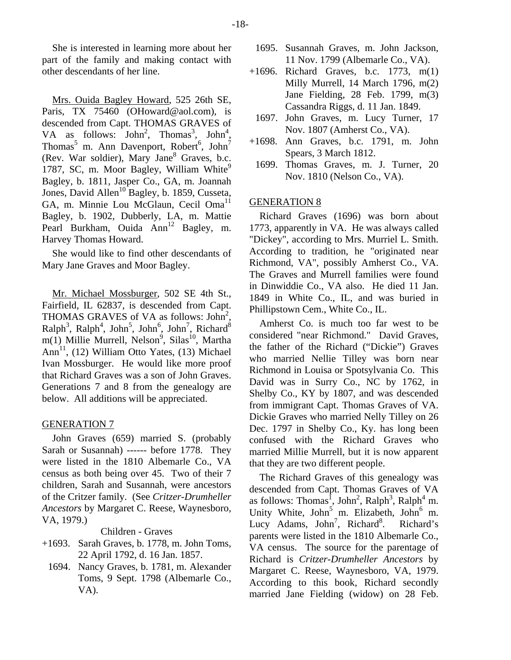She is interested in learning more about her part of the family and making contact with other descendants of her line.

Mrs. Ouida Bagley Howard, 525 26th SE, Paris, TX 75460 (OHoward@aol.com), is descended from Capt. THOMAS GRAVES of VA as follows:  $John^2$ , Thomas<sup>3</sup>, John<sup>4</sup>, Thomas<sup>5</sup> m. Ann Davenport, Robert<sup>6</sup>, John<sup>7</sup> (Rev. War soldier), Mary Jane<sup>8</sup> Graves, b.c. 1787, SC, m. Moor Bagley, William White $9$ Bagley, b. 1811, Jasper Co., GA, m. Joannah Jones, David Allen<sup>10</sup> Bagley, b. 1859, Cusseta, GA, m. Minnie Lou McGlaun, Cecil Oma<sup>11</sup> Bagley, b. 1902, Dubberly, LA, m. Mattie Pearl Burkham, Ouida  $Ann^{12}$  Bagley, m. Harvey Thomas Howard.

She would like to find other descendants of Mary Jane Graves and Moor Bagley.

Mr. Michael Mossburger, 502 SE 4th St., Fairfield, IL 62837, is descended from Capt. THOMAS GRAVES of VA as follows: John<sup>2</sup>,  $\text{Ralph}^3$ ,  $\text{Ralph}^4$ ,  $\text{John}^5$ ,  $\text{John}^6$ ,  $\text{John}^7$ ,  $\text{Richard}^8$  $m(1)$  Millie Murrell, Nelson<sup>9</sup>, Silas<sup>10</sup>, Martha Ann<sup>11</sup>, (12) William Otto Yates, (13) Michael Ivan Mossburger. He would like more proof that Richard Graves was a son of John Graves. Generations 7 and 8 from the genealogy are below. All additions will be appreciated.

## GENERATION 7

John Graves (659) married S. (probably Sarah or Susannah) ------ before 1778. They were listed in the 1810 Albemarle Co., VA census as both being over 45. Two of their 7 children, Sarah and Susannah, were ancestors of the Critzer family. (See *Critzer-Drumheller Ancestors* by Margaret C. Reese, Waynesboro, VA, 1979.)

Children - Graves

- +1693. Sarah Graves, b. 1778, m. John Toms, 22 April 1792, d. 16 Jan. 1857.
	- 1694. Nancy Graves, b. 1781, m. Alexander Toms, 9 Sept. 1798 (Albemarle Co., VA).
- 1695. Susannah Graves, m. John Jackson, 11 Nov. 1799 (Albemarle Co., VA).
- +1696. Richard Graves, b.c. 1773, m(1) Milly Murrell, 14 March 1796, m(2) Jane Fielding, 28 Feb. 1799, m(3) Cassandra Riggs, d. 11 Jan. 1849.
	- 1697. John Graves, m. Lucy Turner, 17 Nov. 1807 (Amherst Co., VA).
- +1698. Ann Graves, b.c. 1791, m. John Spears, 3 March 1812.
	- 1699. Thomas Graves, m. J. Turner, 20 Nov. 1810 (Nelson Co., VA).

## GENERATION 8

Richard Graves (1696) was born about 1773, apparently in VA. He was always called "Dickey", according to Mrs. Murriel L. Smith. According to tradition, he "originated near Richmond, VA", possibly Amherst Co., VA. The Graves and Murrell families were found in Dinwiddie Co., VA also. He died 11 Jan. 1849 in White Co., IL, and was buried in Phillipstown Cem., White Co., IL.

Amherst Co. is much too far west to be considered "near Richmond." David Graves, the father of the Richard ("Dickie") Graves who married Nellie Tilley was born near Richmond in Louisa or Spotsylvania Co. This David was in Surry Co., NC by 1762, in Shelby Co., KY by 1807, and was descended from immigrant Capt. Thomas Graves of VA. Dickie Graves who married Nelly Tilley on 26 Dec. 1797 in Shelby Co., Ky. has long been confused with the Richard Graves who married Millie Murrell, but it is now apparent that they are two different people.

The Richard Graves of this genealogy was descended from Capt. Thomas Graves of VA as follows: Thomas<sup>1</sup>, John<sup>2</sup>, Ralph<sup>3</sup>, Ralph<sup>4</sup> m. Unity White, John<sup>5</sup> m. Elizabeth, John<sup>6</sup> m. Lucy Adams, John<sup>7</sup>, Richard<sup>8</sup> . Richard's parents were listed in the 1810 Albemarle Co., VA census. The source for the parentage of Richard is *Critzer-Drumheller Ancestors* by Margaret C. Reese, Waynesboro, VA, 1979. According to this book, Richard secondly married Jane Fielding (widow) on 28 Feb.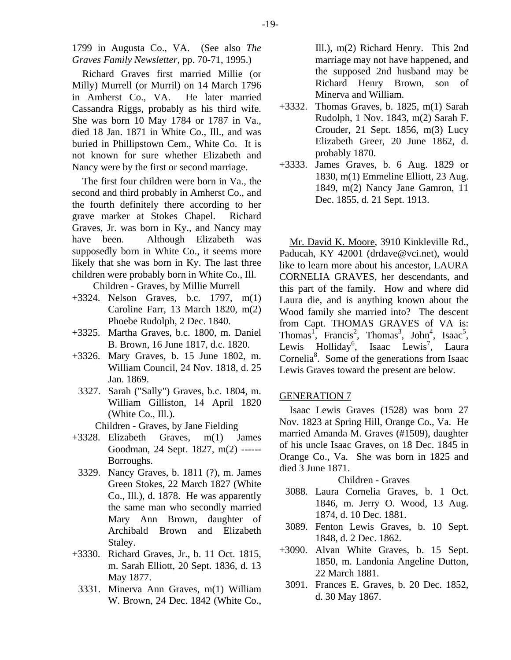1799 in Augusta Co., VA. (See also *The Graves Family Newsletter*, pp. 70-71, 1995.)

Richard Graves first married Millie (or Milly) Murrell (or Murril) on 14 March 1796 in Amherst Co., VA. He later married Cassandra Riggs, probably as his third wife. She was born 10 May 1784 or 1787 in Va., died 18 Jan. 1871 in White Co., Ill., and was buried in Phillipstown Cem., White Co. It is not known for sure whether Elizabeth and Nancy were by the first or second marriage.

The first four children were born in Va., the second and third probably in Amherst Co., and the fourth definitely there according to her grave marker at Stokes Chapel. Richard Graves, Jr. was born in Ky., and Nancy may have been. Although Elizabeth was supposedly born in White Co., it seems more likely that she was born in Ky. The last three children were probably born in White Co., Ill. Children - Graves, by Millie Murrell

- +3324. Nelson Graves, b.c. 1797, m(1) Caroline Farr, 13 March 1820, m(2)
- Phoebe Rudolph, 2 Dec. 1840. +3325. Martha Graves, b.c. 1800, m. Daniel B. Brown, 16 June 1817, d.c. 1820.
- +3326. Mary Graves, b. 15 June 1802, m. William Council, 24 Nov. 1818, d. 25 Jan. 1869.
	- 3327. Sarah ("Sally") Graves, b.c. 1804, m. William Gilliston, 14 April 1820 (White Co., Ill.).
		- Children Graves, by Jane Fielding
- +3328. Elizabeth Graves, m(1) James Goodman, 24 Sept. 1827, m(2) ------ Borroughs.
- 3329. Nancy Graves, b. 1811 (?), m. James Green Stokes, 22 March 1827 (White Co., Ill.), d. 1878. He was apparently the same man who secondly married Mary Ann Brown, daughter of Archibald Brown and Elizabeth Staley.
- +3330. Richard Graves, Jr., b. 11 Oct. 1815, m. Sarah Elliott, 20 Sept. 1836, d. 13 May 1877.
	- 3331. Minerva Ann Graves, m(1) William W. Brown, 24 Dec. 1842 (White Co.,

Ill.), m(2) Richard Henry. This 2nd marriage may not have happened, and the supposed 2nd husband may be Richard Henry Brown, son of Minerva and William.

- +3332. Thomas Graves, b. 1825, m(1) Sarah Rudolph, 1 Nov. 1843, m(2) Sarah F. Crouder, 21 Sept. 1856, m(3) Lucy Elizabeth Greer, 20 June 1862, d. probably 1870.
- +3333. James Graves, b. 6 Aug. 1829 or 1830, m(1) Emmeline Elliott, 23 Aug. 1849, m(2) Nancy Jane Gamron, 11 Dec. 1855, d. 21 Sept. 1913.

Mr. David K. Moore, 3910 Kinkleville Rd., Paducah, KY 42001 (drdave@vci.net), would like to learn more about his ancestor, LAURA CORNELIA GRAVES, her descendants, and this part of the family. How and where did Laura die, and is anything known about the Wood family she married into? The descent from Capt. THOMAS GRAVES of VA is: Thomas<sup>1</sup>, Francis<sup>2</sup>, Thomas<sup>3</sup>, John<sup>4</sup>, Isaac<sup>5</sup>, Lewis Holliday<sup>6</sup>, Isaac Lewis<sup>7</sup>, Laura Cornelia<sup>8</sup>. Some of the generations from Isaac Lewis Graves toward the present are below.

## GENERATION 7

Isaac Lewis Graves (1528) was born 27 Nov. 1823 at Spring Hill, Orange Co., Va. He married Amanda M. Graves (#1509), daughter of his uncle Isaac Graves, on 18 Dec. 1845 in Orange Co., Va. She was born in 1825 and died 3 June 1871.

## Children - Graves

- 3088. Laura Cornelia Graves, b. 1 Oct. 1846, m. Jerry O. Wood, 13 Aug. 1874, d. 10 Dec. 1881.
- 3089. Fenton Lewis Graves, b. 10 Sept. 1848, d. 2 Dec. 1862.
- +3090. Alvan White Graves, b. 15 Sept. 1850, m. Landonia Angeline Dutton, 22 March 1881.
- 3091. Frances E. Graves, b. 20 Dec. 1852, d. 30 May 1867.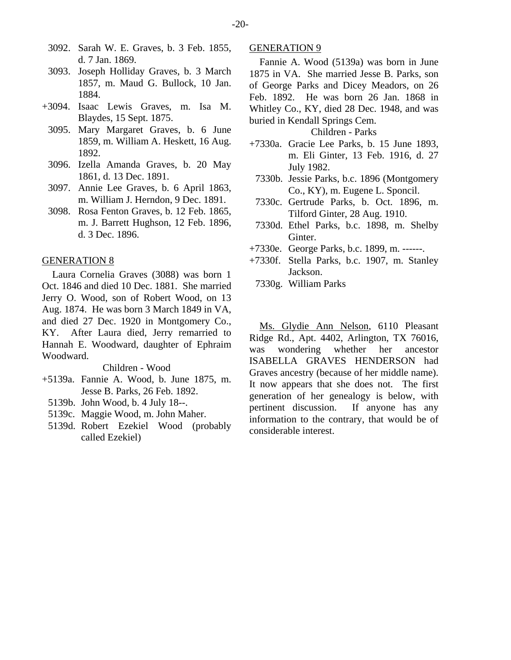- 3092. Sarah W. E. Graves, b. 3 Feb. 1855, d. 7 Jan. 1869.
- 3093. Joseph Holliday Graves, b. 3 March 1857, m. Maud G. Bullock, 10 Jan. 1884.
- +3094. Isaac Lewis Graves, m. Isa M. Blaydes, 15 Sept. 1875.
	- 3095. Mary Margaret Graves, b. 6 June 1859, m. William A. Heskett, 16 Aug. 1892.
	- 3096. Izella Amanda Graves, b. 20 May 1861, d. 13 Dec. 1891.
	- 3097. Annie Lee Graves, b. 6 April 1863, m. William J. Herndon, 9 Dec. 1891.
	- 3098. Rosa Fenton Graves, b. 12 Feb. 1865, m. J. Barrett Hughson, 12 Feb. 1896, d. 3 Dec. 1896.

#### GENERATION 8

Laura Cornelia Graves (3088) was born 1 Oct. 1846 and died 10 Dec. 1881. She married Jerry O. Wood, son of Robert Wood, on 13 Aug. 1874. He was born 3 March 1849 in VA, and died 27 Dec. 1920 in Montgomery Co., KY. After Laura died, Jerry remarried to Hannah E. Woodward, daughter of Ephraim Woodward.

Children - Wood

- +5139a. Fannie A. Wood, b. June 1875, m. Jesse B. Parks, 26 Feb. 1892.
	- 5139b. John Wood, b. 4 July 18--.
	- 5139c. Maggie Wood, m. John Maher.
	- 5139d. Robert Ezekiel Wood (probably called Ezekiel)

#### GENERATION 9

Fannie A. Wood (5139a) was born in June 1875 in VA. She married Jesse B. Parks, son of George Parks and Dicey Meadors, on 26 Feb. 1892. He was born 26 Jan. 1868 in Whitley Co., KY, died 28 Dec. 1948, and was buried in Kendall Springs Cem.

## Children - Parks

- +7330a. Gracie Lee Parks, b. 15 June 1893, m. Eli Ginter, 13 Feb. 1916, d. 27 July 1982.
	- 7330b. Jessie Parks, b.c. 1896 (Montgomery Co., KY), m. Eugene L. Sponcil.
	- 7330c. Gertrude Parks, b. Oct. 1896, m. Tilford Ginter, 28 Aug. 1910.
- 7330d. Ethel Parks, b.c. 1898, m. Shelby Ginter.
- +7330e. George Parks, b.c. 1899, m. ------.
- +7330f. Stella Parks, b.c. 1907, m. Stanley Jackson.
	- 7330g. William Parks

Ms. Glydie Ann Nelson, 6110 Pleasant Ridge Rd., Apt. 4402, Arlington, TX 76016, was wondering whether her ancestor ISABELLA GRAVES HENDERSON had Graves ancestry (because of her middle name). It now appears that she does not. The first generation of her genealogy is below, with pertinent discussion. If anyone has any information to the contrary, that would be of considerable interest.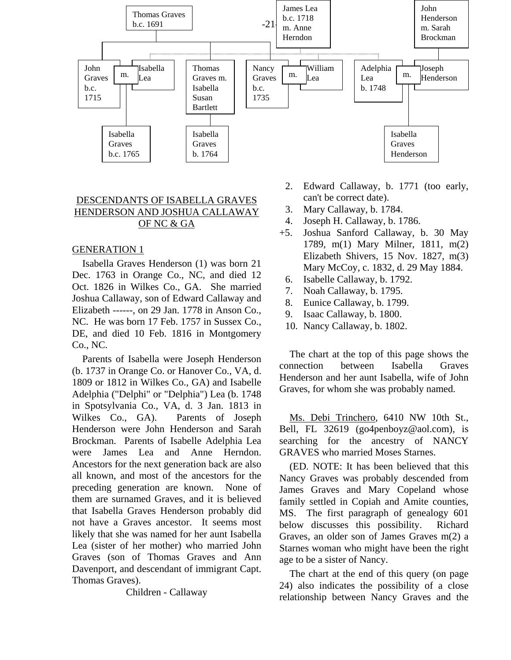

## DESCENDANTS OF ISABELLA GRAVES HENDERSON AND JOSHUA CALLAWAY OF NC & GA

## GENERATION 1

Isabella Graves Henderson (1) was born 21 Dec. 1763 in Orange Co., NC, and died 12 Oct. 1826 in Wilkes Co., GA. She married Joshua Callaway, son of Edward Callaway and Elizabeth ------, on 29 Jan. 1778 in Anson Co., NC. He was born 17 Feb. 1757 in Sussex Co., DE, and died 10 Feb. 1816 in Montgomery Co., NC.

Parents of Isabella were Joseph Henderson (b. 1737 in Orange Co. or Hanover Co., VA, d. 1809 or 1812 in Wilkes Co., GA) and Isabelle Adelphia ("Delphi" or "Delphia") Lea (b. 1748 in Spotsylvania Co., VA, d. 3 Jan. 1813 in Wilkes Co., GA). Parents of Joseph Henderson were John Henderson and Sarah Brockman. Parents of Isabelle Adelphia Lea were James Lea and Anne Herndon. Ancestors for the next generation back are also all known, and most of the ancestors for the preceding generation are known. None of them are surnamed Graves, and it is believed that Isabella Graves Henderson probably did not have a Graves ancestor. It seems most likely that she was named for her aunt Isabella Lea (sister of her mother) who married John Graves (son of Thomas Graves and Ann Davenport, and descendant of immigrant Capt. Thomas Graves).

Children - Callaway

- 2. Edward Callaway, b. 1771 (too early, can't be correct date).
- 3. Mary Callaway, b. 1784.
- 4. Joseph H. Callaway, b. 1786.
- +5. Joshua Sanford Callaway, b. 30 May 1789, m(1) Mary Milner, 1811, m(2) Elizabeth Shivers, 15 Nov. 1827, m(3) Mary McCoy, c. 1832, d. 29 May 1884.
	- 6. Isabelle Callaway, b. 1792.
	- 7. Noah Callaway, b. 1795.
- 8. Eunice Callaway, b. 1799.
- 9. Isaac Callaway, b. 1800.
- 10. Nancy Callaway, b. 1802.

The chart at the top of this page shows the connection between Isabella Graves Henderson and her aunt Isabella, wife of John Graves, for whom she was probably named.

Ms. Debi Trinchero, 6410 NW 10th St., Bell, FL 32619 (go4penboyz@aol.com), is searching for the ancestry of NANCY GRAVES who married Moses Starnes.

(ED. NOTE: It has been believed that this Nancy Graves was probably descended from James Graves and Mary Copeland whose family settled in Copiah and Amite counties, MS. The first paragraph of genealogy 601 below discusses this possibility. Richard Graves, an older son of James Graves m(2) a Starnes woman who might have been the right age to be a sister of Nancy.

The chart at the end of this query (on page 24) also indicates the possibility of a close relationship between Nancy Graves and the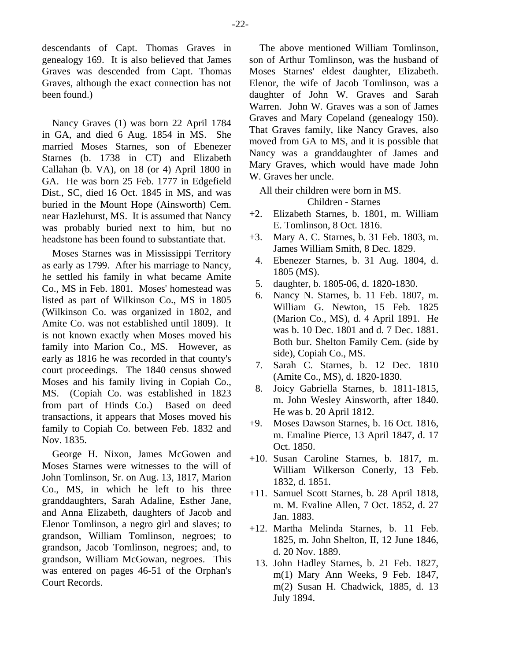descendants of Capt. Thomas Graves in genealogy 169. It is also believed that James Graves was descended from Capt. Thomas Graves, although the exact connection has not been found.)

Nancy Graves (1) was born 22 April 1784 in GA, and died 6 Aug. 1854 in MS. She married Moses Starnes, son of Ebenezer Starnes (b. 1738 in CT) and Elizabeth Callahan (b. VA), on 18 (or 4) April 1800 in GA. He was born 25 Feb. 1777 in Edgefield Dist., SC, died 16 Oct. 1845 in MS, and was buried in the Mount Hope (Ainsworth) Cem. near Hazlehurst, MS. It is assumed that Nancy was probably buried next to him, but no headstone has been found to substantiate that.

Moses Starnes was in Mississippi Territory as early as 1799. After his marriage to Nancy, he settled his family in what became Amite Co., MS in Feb. 1801. Moses' homestead was listed as part of Wilkinson Co., MS in 1805 (Wilkinson Co. was organized in 1802, and Amite Co. was not established until 1809). It is not known exactly when Moses moved his family into Marion Co., MS. However, as early as 1816 he was recorded in that county's court proceedings. The 1840 census showed Moses and his family living in Copiah Co., MS. (Copiah Co. was established in 1823 from part of Hinds Co.) Based on deed transactions, it appears that Moses moved his family to Copiah Co. between Feb. 1832 and Nov. 1835.

George H. Nixon, James McGowen and Moses Starnes were witnesses to the will of John Tomlinson, Sr. on Aug. 13, 1817, Marion Co., MS, in which he left to his three granddaughters, Sarah Adaline, Esther Jane, and Anna Elizabeth, daughters of Jacob and Elenor Tomlinson, a negro girl and slaves; to grandson, William Tomlinson, negroes; to grandson, Jacob Tomlinson, negroes; and, to grandson, William McGowan, negroes. This was entered on pages 46-51 of the Orphan's Court Records.

The above mentioned William Tomlinson, son of Arthur Tomlinson, was the husband of Moses Starnes' eldest daughter, Elizabeth. Elenor, the wife of Jacob Tomlinson, was a daughter of John W. Graves and Sarah Warren. John W. Graves was a son of James Graves and Mary Copeland (genealogy 150). That Graves family, like Nancy Graves, also moved from GA to MS, and it is possible that Nancy was a granddaughter of James and Mary Graves, which would have made John W. Graves her uncle.

All their children were born in MS.

Children - Starnes

- +2. Elizabeth Starnes, b. 1801, m. William E. Tomlinson, 8 Oct. 1816.
- +3. Mary A. C. Starnes, b. 31 Feb. 1803, m. James William Smith, 8 Dec. 1829.
- 4. Ebenezer Starnes, b. 31 Aug. 1804, d. 1805 (MS).
- 5. daughter, b. 1805-06, d. 1820-1830.
- 6. Nancy N. Starnes, b. 11 Feb. 1807, m. William G. Newton, 15 Feb. 1825 (Marion Co., MS), d. 4 April 1891. He was b. 10 Dec. 1801 and d. 7 Dec. 1881. Both bur. Shelton Family Cem. (side by side), Copiah Co., MS.
- 7. Sarah C. Starnes, b. 12 Dec. 1810 (Amite Co., MS), d. 1820-1830.
- 8. Joicy Gabriella Starnes, b. 1811-1815, m. John Wesley Ainsworth, after 1840. He was b. 20 April 1812.
- +9. Moses Dawson Starnes, b. 16 Oct. 1816, m. Emaline Pierce, 13 April 1847, d. 17 Oct. 1850.
- +10. Susan Caroline Starnes, b. 1817, m. William Wilkerson Conerly, 13 Feb. 1832, d. 1851.
- +11. Samuel Scott Starnes, b. 28 April 1818, m. M. Evaline Allen, 7 Oct. 1852, d. 27 Jan. 1883.
- +12. Martha Melinda Starnes, b. 11 Feb. 1825, m. John Shelton, II, 12 June 1846, d. 20 Nov. 1889.
- 13. John Hadley Starnes, b. 21 Feb. 1827, m(1) Mary Ann Weeks, 9 Feb. 1847, m(2) Susan H. Chadwick, 1885, d. 13 July 1894.